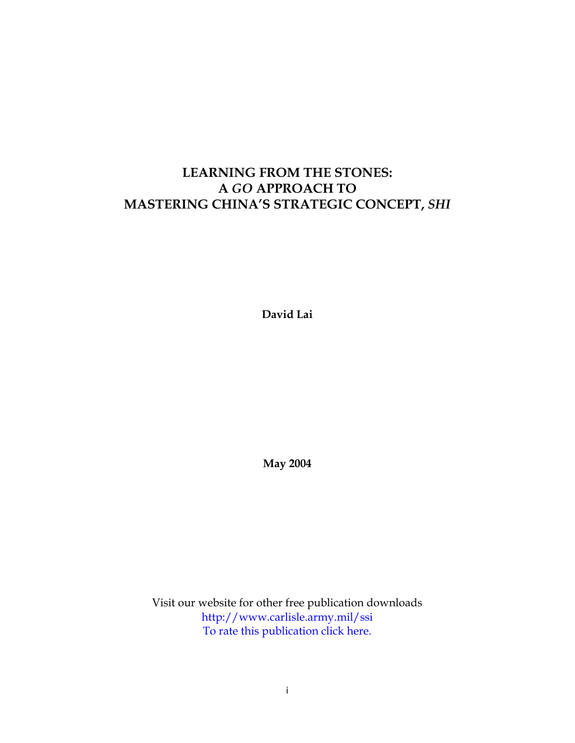# **LEARNING FROM THE STONES: A** *GO* **APPROACH TO MASTERING CHINA'S STRATEGIC CONCEPT,** *SHI*

**David Lai** 

**May 2004** 

Visit our website for other free publication downloads http://www.carlisle.army.mil/ssi To rate this publication click here.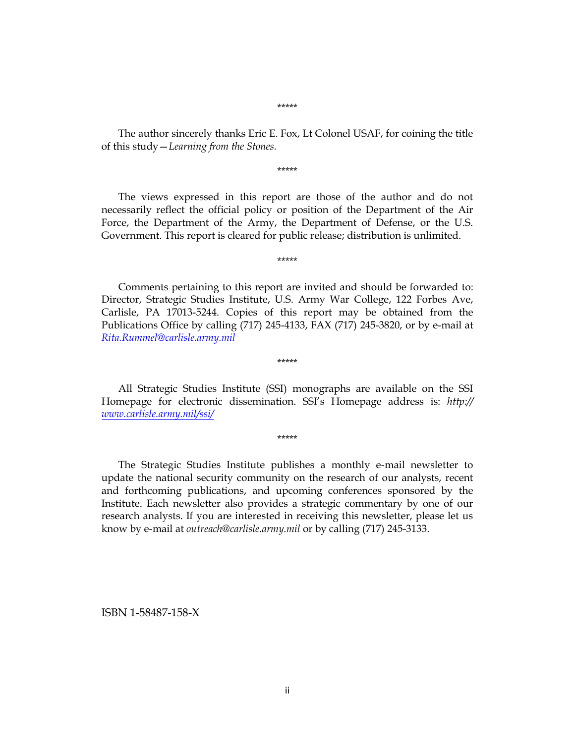The author sincerely thanks Eric E. Fox, Lt Colonel USAF, for coining the title of this study—*Learning from the Stones.* 

\*\*\*\*\*

The views expressed in this report are those of the author and do not necessarily reflect the official policy or position of the Department of the Air Force, the Department of the Army, the Department of Defense, or the U.S. Government. This report is cleared for public release; distribution is unlimited.

\*\*\*\*\*

Comments pertaining to this report are invited and should be forwarded to: Director, Strategic Studies Institute, U.S. Army War College, 122 Forbes Ave, Carlisle, PA 17013-5244. Copies of this report may be obtained from the Publications Office by calling (717) 245-4133, FAX (717) 245-3820, or by e-mail at *[Rita.Rummel@carlisle.army.mil](mailto:Rita.Rummel@carlisle.army.mil)* 

All Strategic Studies Institute (SSI) monographs are available on the SSI Homepage for electronic dissemination. SSI"s Homepage address is: *http:// [www.carlisle.army.mil/ssi/](http://www.carlisle.army.mil/ssi/)* 

\*\*\*\*\*

\*\*\*\*\*

The Strategic Studies Institute publishes a monthly e-mail newsletter to update the national security community on the research of our analysts, recent and forthcoming publications, and upcoming conferences sponsored by the Institute. Each newsletter also provides a strategic commentary by one of our research analysts. If you are interested in receiving this newsletter, please let us know by e-mail at *outreach@carlisle.army.mil* or by calling (717) 245-3133.

ISBN 1-58487-158-X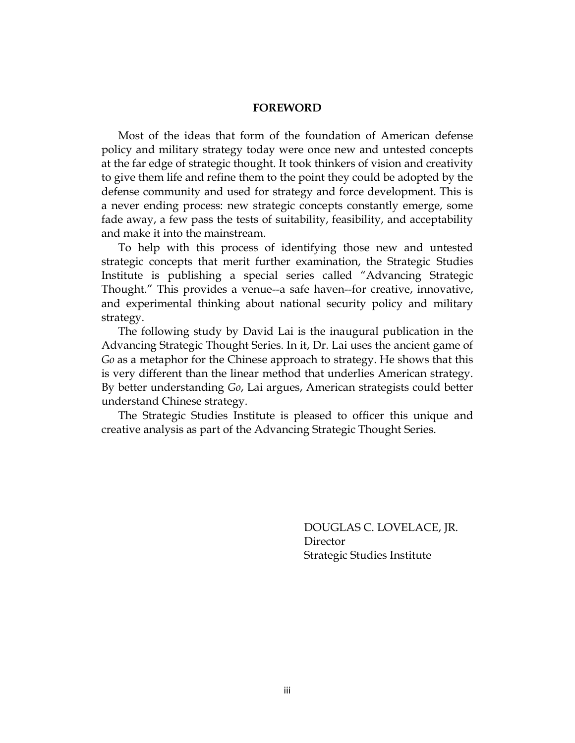#### **FOREWORD**

Most of the ideas that form of the foundation of American defense policy and military strategy today were once new and untested concepts at the far edge of strategic thought. It took thinkers of vision and creativity to give them life and refine them to the point they could be adopted by the defense community and used for strategy and force development. This is a never ending process: new strategic concepts constantly emerge, some fade away, a few pass the tests of suitability, feasibility, and acceptability and make it into the mainstream.

To help with this process of identifying those new and untested strategic concepts that merit further examination, the Strategic Studies Institute is publishing a special series called "Advancing Strategic Thought." This provides a venue--a safe haven--for creative, innovative, and experimental thinking about national security policy and military strategy.

The following study by David Lai is the inaugural publication in the Advancing Strategic Thought Series. In it, Dr. Lai uses the ancient game of *Go* as a metaphor for the Chinese approach to strategy. He shows that this is very different than the linear method that underlies American strategy. By better understanding *Go*, Lai argues, American strategists could better understand Chinese strategy.

The Strategic Studies Institute is pleased to officer this unique and creative analysis as part of the Advancing Strategic Thought Series.

> DOUGLAS C. LOVELACE, JR. Director Strategic Studies Institute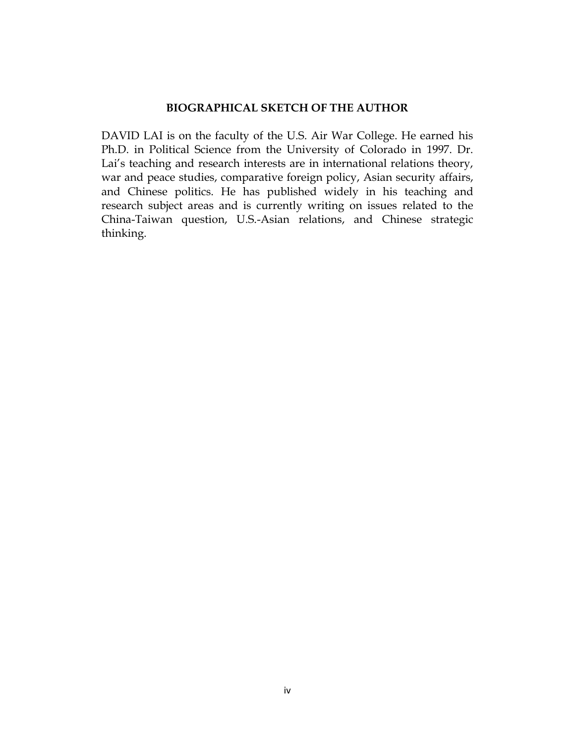## **BIOGRAPHICAL SKETCH OF THE AUTHOR**

DAVID LAI is on the faculty of the U.S. Air War College. He earned his Ph.D. in Political Science from the University of Colorado in 1997. Dr. Lai's teaching and research interests are in international relations theory, war and peace studies, comparative foreign policy, Asian security affairs, and Chinese politics. He has published widely in his teaching and research subject areas and is currently writing on issues related to the China-Taiwan question, U.S.-Asian relations, and Chinese strategic thinking.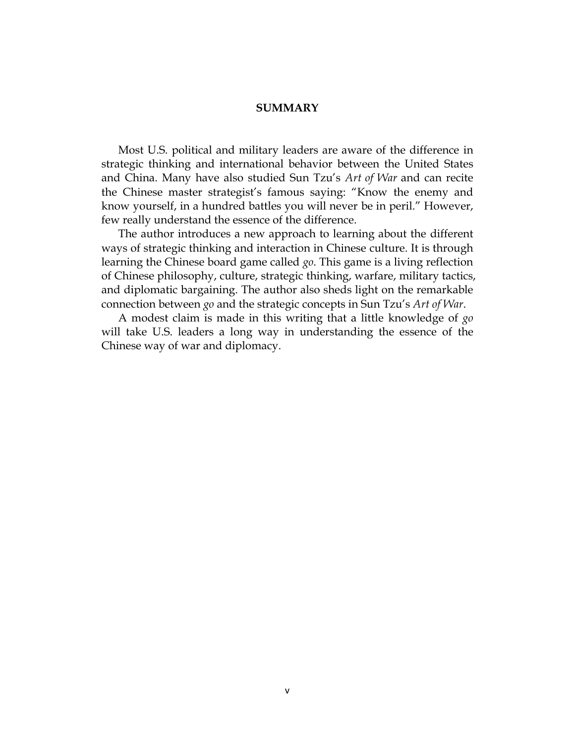#### **SUMMARY**

Most U.S. political and military leaders are aware of the difference in strategic thinking and international behavior between the United States and China. Many have also studied Sun Tzu"s *Art of War* and can recite the Chinese master strategist's famous saying: "Know the enemy and know yourself, in a hundred battles you will never be in peril." However, few really understand the essence of the difference.

The author introduces a new approach to learning about the different ways of strategic thinking and interaction in Chinese culture. It is through learning the Chinese board game called *go*. This game is a living reflection of Chinese philosophy, culture, strategic thinking, warfare, military tactics, and diplomatic bargaining. The author also sheds light on the remarkable connection between *go* and the strategic concepts in Sun Tzu"s *Art of War*.

A modest claim is made in this writing that a little knowledge of *go*  will take U.S. leaders a long way in understanding the essence of the Chinese way of war and diplomacy.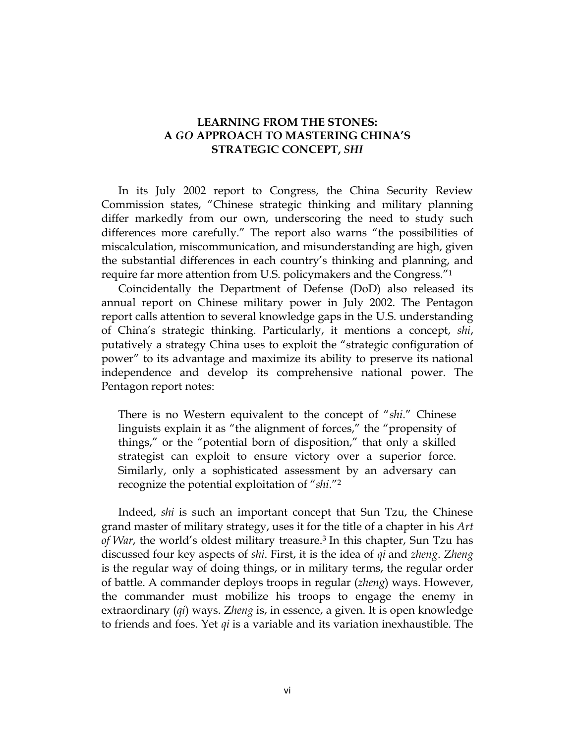# **LEARNING FROM THE STONES: A** *GO* **APPROACH TO MASTERING CHINA'S STRATEGIC CONCEPT,** *SHI*

In its July 2002 report to Congress, the China Security Review Commission states, "Chinese strategic thinking and military planning differ markedly from our own, underscoring the need to study such differences more carefully." The report also warns "the possibilities of miscalculation, miscommunication, and misunderstanding are high, given the substantial differences in each country"s thinking and planning, and require far more attention from U.S. policymakers and the Congress."<sup>1</sup>

Coincidentally the Department of Defense (DoD) also released its annual report on Chinese military power in July 2002. The Pentagon report calls attention to several knowledge gaps in the U.S. understanding of China"s strategic thinking. Particularly, it mentions a concept, *shi*, putatively a strategy China uses to exploit the "strategic configuration of power" to its advantage and maximize its ability to preserve its national independence and develop its comprehensive national power. The Pentagon report notes:

There is no Western equivalent to the concept of "*shi*." Chinese linguists explain it as "the alignment of forces," the "propensity of things," or the "potential born of disposition," that only a skilled strategist can exploit to ensure victory over a superior force. Similarly, only a sophisticated assessment by an adversary can recognize the potential exploitation of "*shi*."<sup>2</sup>

Indeed, *shi* is such an important concept that Sun Tzu, the Chinese grand master of military strategy, uses it for the title of a chapter in his *Art of War*, the world"s oldest military treasure.<sup>3</sup> In this chapter, Sun Tzu has discussed four key aspects of *shi*. First, it is the idea of *qi* and *zheng*. *Zheng*  is the regular way of doing things, or in military terms, the regular order of battle. A commander deploys troops in regular (*zheng*) ways. However, the commander must mobilize his troops to engage the enemy in extraordinary (*qi*) ways. Z*heng* is, in essence, a given. It is open knowledge to friends and foes. Yet *qi* is a variable and its variation inexhaustible. The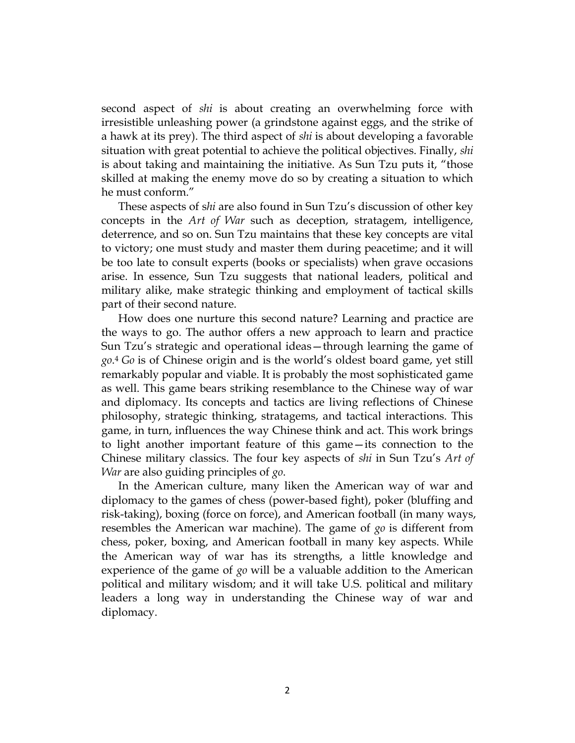second aspect of *shi* is about creating an overwhelming force with irresistible unleashing power (a grindstone against eggs, and the strike of a hawk at its prey). The third aspect of *shi* is about developing a favorable situation with great potential to achieve the political objectives. Finally, *shi*  is about taking and maintaining the initiative. As Sun Tzu puts it, "those skilled at making the enemy move do so by creating a situation to which he must conform."

These aspects of s*hi* are also found in Sun Tzu"s discussion of other key concepts in the *Art of War* such as deception, stratagem, intelligence, deterrence, and so on. Sun Tzu maintains that these key concepts are vital to victory; one must study and master them during peacetime; and it will be too late to consult experts (books or specialists) when grave occasions arise. In essence, Sun Tzu suggests that national leaders, political and military alike, make strategic thinking and employment of tactical skills part of their second nature.

How does one nurture this second nature? Learning and practice are the ways to go. The author offers a new approach to learn and practice Sun Tzu"s strategic and operational ideas—through learning the game of *go*. <sup>4</sup> *Go* is of Chinese origin and is the world"s oldest board game, yet still remarkably popular and viable. It is probably the most sophisticated game as well. This game bears striking resemblance to the Chinese way of war and diplomacy. Its concepts and tactics are living reflections of Chinese philosophy, strategic thinking, stratagems, and tactical interactions. This game, in turn, influences the way Chinese think and act. This work brings to light another important feature of this game—its connection to the Chinese military classics. The four key aspects of *shi* in Sun Tzu"s *Art of War* are also guiding principles of *go*.

In the American culture, many liken the American way of war and diplomacy to the games of chess (power-based fight), poker (bluffing and risk-taking), boxing (force on force), and American football (in many ways, resembles the American war machine). The game of *go* is different from chess, poker, boxing, and American football in many key aspects. While the American way of war has its strengths, a little knowledge and experience of the game of *go* will be a valuable addition to the American political and military wisdom; and it will take U.S. political and military leaders a long way in understanding the Chinese way of war and diplomacy.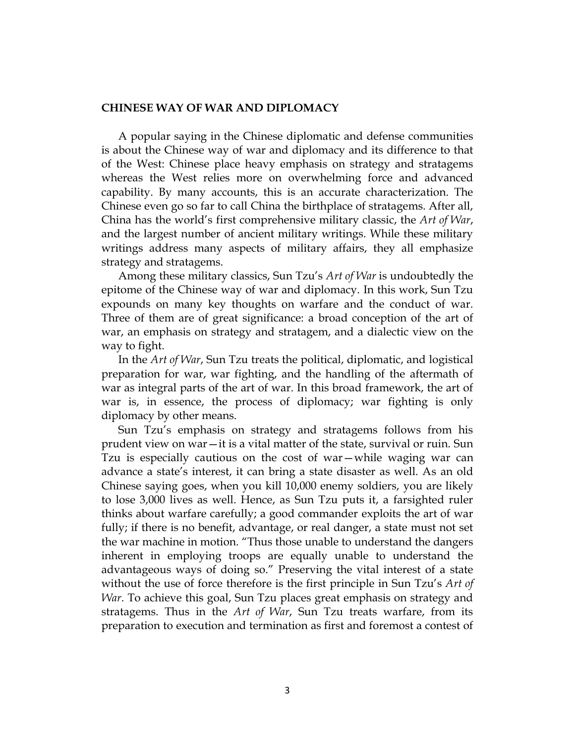#### **CHINESE WAY OF WAR AND DIPLOMACY**

A popular saying in the Chinese diplomatic and defense communities is about the Chinese way of war and diplomacy and its difference to that of the West: Chinese place heavy emphasis on strategy and stratagems whereas the West relies more on overwhelming force and advanced capability. By many accounts, this is an accurate characterization. The Chinese even go so far to call China the birthplace of stratagems. After all, China has the world"s first comprehensive military classic, the *Art of War*, and the largest number of ancient military writings. While these military writings address many aspects of military affairs, they all emphasize strategy and stratagems.

Among these military classics, Sun Tzu"s *Art of War* is undoubtedly the epitome of the Chinese way of war and diplomacy. In this work, Sun Tzu expounds on many key thoughts on warfare and the conduct of war. Three of them are of great significance: a broad conception of the art of war, an emphasis on strategy and stratagem, and a dialectic view on the way to fight.

In the *Art of War*, Sun Tzu treats the political, diplomatic, and logistical preparation for war, war fighting, and the handling of the aftermath of war as integral parts of the art of war. In this broad framework, the art of war is, in essence, the process of diplomacy; war fighting is only diplomacy by other means.

Sun Tzu"s emphasis on strategy and stratagems follows from his prudent view on war—it is a vital matter of the state, survival or ruin. Sun Tzu is especially cautious on the cost of war—while waging war can advance a state"s interest, it can bring a state disaster as well. As an old Chinese saying goes, when you kill 10,000 enemy soldiers, you are likely to lose 3,000 lives as well. Hence, as Sun Tzu puts it, a farsighted ruler thinks about warfare carefully; a good commander exploits the art of war fully; if there is no benefit, advantage, or real danger, a state must not set the war machine in motion. "Thus those unable to understand the dangers inherent in employing troops are equally unable to understand the advantageous ways of doing so." Preserving the vital interest of a state without the use of force therefore is the first principle in Sun Tzu"s *Art of War*. To achieve this goal, Sun Tzu places great emphasis on strategy and stratagems. Thus in the *Art of War*, Sun Tzu treats warfare, from its preparation to execution and termination as first and foremost a contest of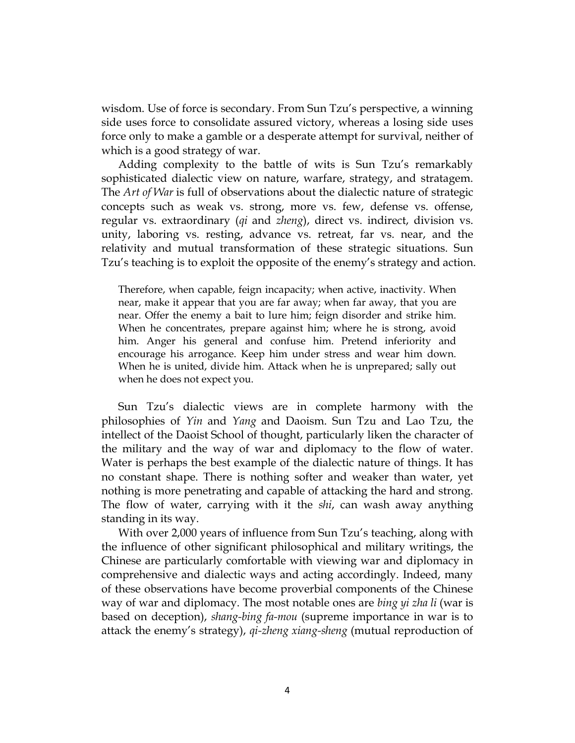wisdom. Use of force is secondary. From Sun Tzu"s perspective, a winning side uses force to consolidate assured victory, whereas a losing side uses force only to make a gamble or a desperate attempt for survival, neither of which is a good strategy of war.

Adding complexity to the battle of wits is Sun Tzu's remarkably sophisticated dialectic view on nature, warfare, strategy, and stratagem. The *Art of War* is full of observations about the dialectic nature of strategic concepts such as weak vs. strong, more vs. few, defense vs. offense, regular vs. extraordinary (*qi* and *zheng*), direct vs. indirect, division vs. unity, laboring vs. resting, advance vs. retreat, far vs. near, and the relativity and mutual transformation of these strategic situations. Sun Tzu"s teaching is to exploit the opposite of the enemy"s strategy and action.

Therefore, when capable, feign incapacity; when active, inactivity. When near, make it appear that you are far away; when far away, that you are near. Offer the enemy a bait to lure him; feign disorder and strike him. When he concentrates, prepare against him; where he is strong, avoid him. Anger his general and confuse him. Pretend inferiority and encourage his arrogance. Keep him under stress and wear him down. When he is united, divide him. Attack when he is unprepared; sally out when he does not expect you.

Sun Tzu"s dialectic views are in complete harmony with the philosophies of *Yin* and *Yang* and Daoism. Sun Tzu and Lao Tzu, the intellect of the Daoist School of thought, particularly liken the character of the military and the way of war and diplomacy to the flow of water. Water is perhaps the best example of the dialectic nature of things. It has no constant shape. There is nothing softer and weaker than water, yet nothing is more penetrating and capable of attacking the hard and strong. The flow of water, carrying with it the *shi*, can wash away anything standing in its way.

With over 2,000 years of influence from Sun Tzu"s teaching, along with the influence of other significant philosophical and military writings, the Chinese are particularly comfortable with viewing war and diplomacy in comprehensive and dialectic ways and acting accordingly. Indeed, many of these observations have become proverbial components of the Chinese way of war and diplomacy. The most notable ones are *bing yi zha li* (war is based on deception), *shang-bing fa-mou* (supreme importance in war is to attack the enemy"s strategy), *qi-zheng xiang-sheng* (mutual reproduction of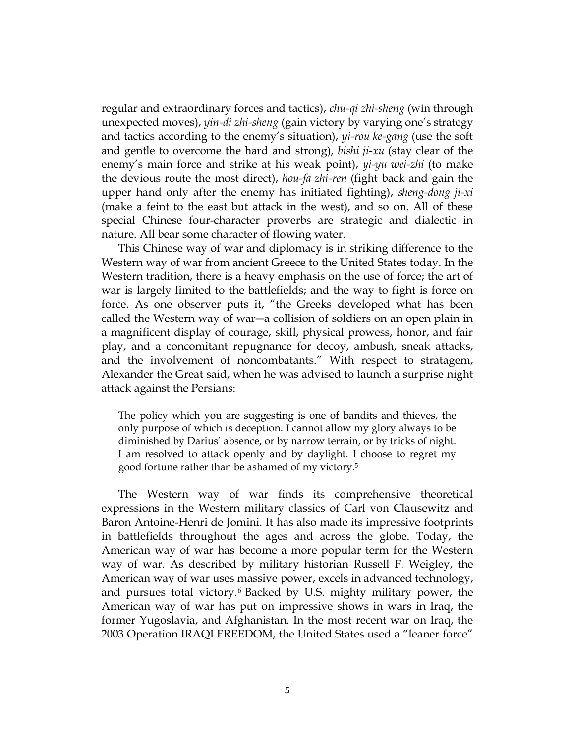regular and extraordinary forces and tactics), *chu-qi zhi-sheng* (win through unexpected moves), *yin-di zhi-sheng* (gain victory by varying one"s strategy and tactics according to the enemy"s situation), *yi-rou ke-gang* (use the soft and gentle to overcome the hard and strong), *bishi ji-xu* (stay clear of the enemy"s main force and strike at his weak point), *yi-yu wei-zhi* (to make the devious route the most direct), *hou-fa zhi-ren* (fight back and gain the upper hand only after the enemy has initiated fighting), *sheng-dong ji-xi*  (make a feint to the east but attack in the west), and so on. All of these special Chinese four-character proverbs are strategic and dialectic in nature. All bear some character of flowing water.

This Chinese way of war and diplomacy is in striking difference to the Western way of war from ancient Greece to the United States today. In the Western tradition, there is a heavy emphasis on the use of force; the art of war is largely limited to the battlefields; and the way to fight is force on force. As one observer puts it, "the Greeks developed what has been called the Western way of war―a collision of soldiers on an open plain in a magnificent display of courage, skill, physical prowess, honor, and fair play, and a concomitant repugnance for decoy, ambush, sneak attacks, and the involvement of noncombatants." With respect to stratagem, Alexander the Great said, when he was advised to launch a surprise night attack against the Persians:

The policy which you are suggesting is one of bandits and thieves, the only purpose of which is deception. I cannot allow my glory always to be diminished by Darius' absence, or by narrow terrain, or by tricks of night. I am resolved to attack openly and by daylight. I choose to regret my good fortune rather than be ashamed of my victory.<sup>5</sup>

The Western way of war finds its comprehensive theoretical expressions in the Western military classics of Carl von Clausewitz and Baron Antoine-Henri de Jomini. It has also made its impressive footprints in battlefields throughout the ages and across the globe. Today, the American way of war has become a more popular term for the Western way of war. As described by military historian Russell F. Weigley, the American way of war uses massive power, excels in advanced technology, and pursues total victory.<sup>6</sup> Backed by U.S. mighty military power, the American way of war has put on impressive shows in wars in Iraq, the former Yugoslavia, and Afghanistan. In the most recent war on Iraq, the 2003 Operation IRAQI FREEDOM, the United States used a "leaner force"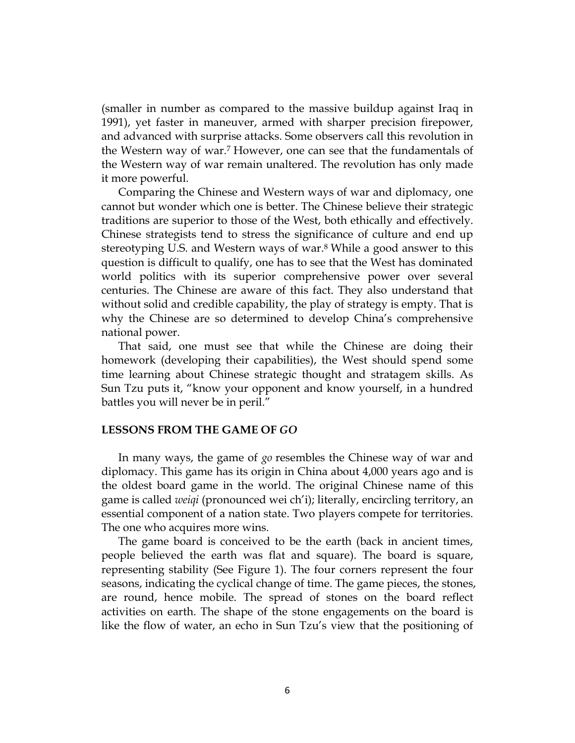(smaller in number as compared to the massive buildup against Iraq in 1991), yet faster in maneuver, armed with sharper precision firepower, and advanced with surprise attacks. Some observers call this revolution in the Western way of war.<sup>7</sup> However, one can see that the fundamentals of the Western way of war remain unaltered. The revolution has only made it more powerful.

Comparing the Chinese and Western ways of war and diplomacy, one cannot but wonder which one is better. The Chinese believe their strategic traditions are superior to those of the West, both ethically and effectively. Chinese strategists tend to stress the significance of culture and end up stereotyping U.S. and Western ways of war.<sup>8</sup> While a good answer to this question is difficult to qualify, one has to see that the West has dominated world politics with its superior comprehensive power over several centuries. The Chinese are aware of this fact. They also understand that without solid and credible capability, the play of strategy is empty. That is why the Chinese are so determined to develop China"s comprehensive national power.

That said, one must see that while the Chinese are doing their homework (developing their capabilities), the West should spend some time learning about Chinese strategic thought and stratagem skills. As Sun Tzu puts it, "know your opponent and know yourself, in a hundred battles you will never be in peril."

#### **LESSONS FROM THE GAME OF** *GO*

In many ways, the game of *go* resembles the Chinese way of war and diplomacy. This game has its origin in China about 4,000 years ago and is the oldest board game in the world. The original Chinese name of this game is called *weiqi* (pronounced wei ch"i); literally, encircling territory, an essential component of a nation state. Two players compete for territories. The one who acquires more wins.

The game board is conceived to be the earth (back in ancient times, people believed the earth was flat and square). The board is square, representing stability (See Figure 1). The four corners represent the four seasons, indicating the cyclical change of time. The game pieces, the stones, are round, hence mobile. The spread of stones on the board reflect activities on earth. The shape of the stone engagements on the board is like the flow of water, an echo in Sun Tzu's view that the positioning of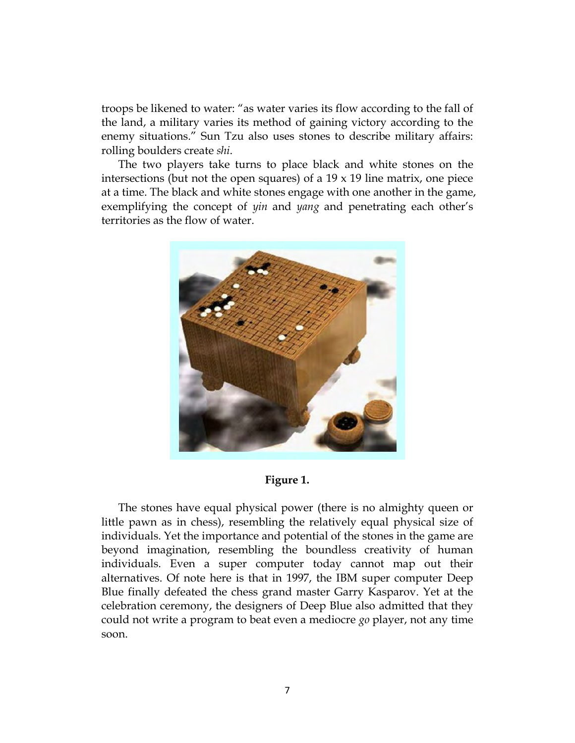troops be likened to water: "as water varies its flow according to the fall of the land, a military varies its method of gaining victory according to the enemy situations." Sun Tzu also uses stones to describe military affairs: rolling boulders create *shi*.

The two players take turns to place black and white stones on the intersections (but not the open squares) of a 19 x 19 line matrix, one piece at a time. The black and white stones engage with one another in the game, exemplifying the concept of *yin* and *yang* and penetrating each other's territories as the flow of water.



## **Figure 1.**

The stones have equal physical power (there is no almighty queen or little pawn as in chess), resembling the relatively equal physical size of individuals. Yet the importance and potential of the stones in the game are beyond imagination, resembling the boundless creativity of human individuals. Even a super computer today cannot map out their alternatives. Of note here is that in 1997, the IBM super computer Deep Blue finally defeated the chess grand master Garry Kasparov. Yet at the celebration ceremony, the designers of Deep Blue also admitted that they could not write a program to beat even a mediocre *go* player, not any time soon.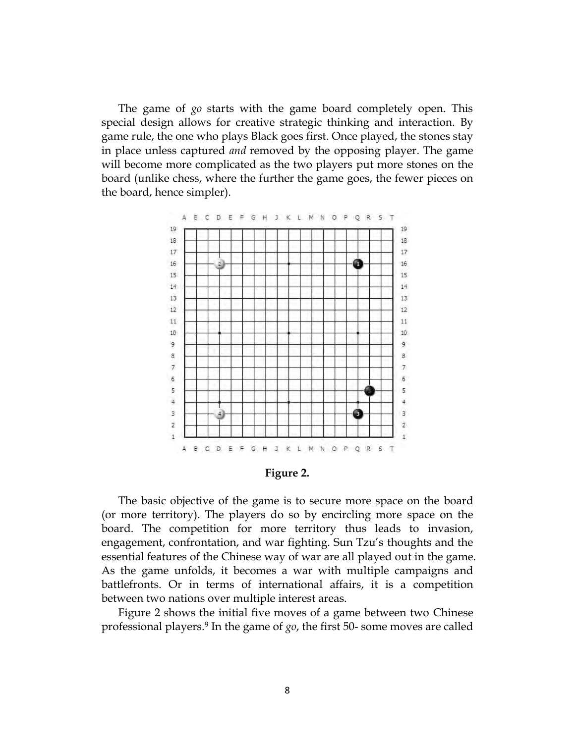The game of *go* starts with the game board completely open. This special design allows for creative strategic thinking and interaction. By game rule, the one who plays Black goes first. Once played, the stones stay in place unless captured *and* removed by the opposing player. The game will become more complicated as the two players put more stones on the board (unlike chess, where the further the game goes, the fewer pieces on the board, hence simpler).



**Figure 2.** 

The basic objective of the game is to secure more space on the board (or more territory). The players do so by encircling more space on the board. The competition for more territory thus leads to invasion, engagement, confrontation, and war fighting. Sun Tzu"s thoughts and the essential features of the Chinese way of war are all played out in the game. As the game unfolds, it becomes a war with multiple campaigns and battlefronts. Or in terms of international affairs, it is a competition between two nations over multiple interest areas.

Figure 2 shows the initial five moves of a game between two Chinese professional players.<sup>9</sup> In the game of *go*, the first 50- some moves are called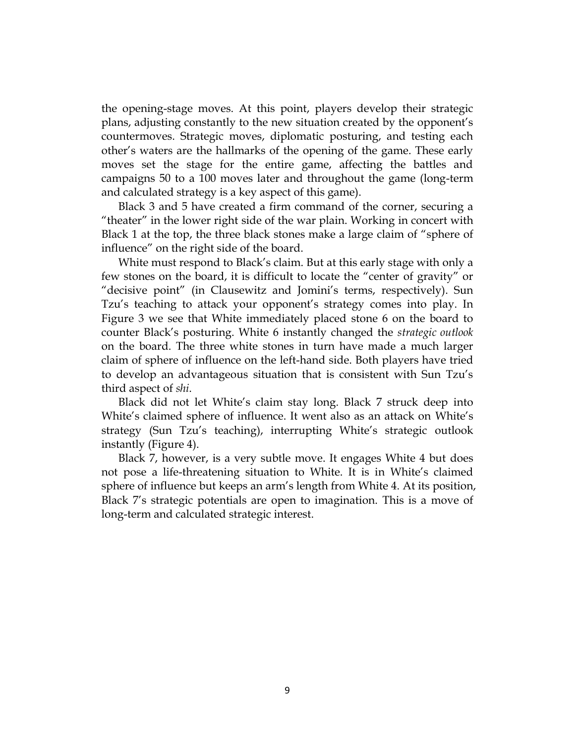the opening-stage moves. At this point, players develop their strategic plans, adjusting constantly to the new situation created by the opponent"s countermoves. Strategic moves, diplomatic posturing, and testing each other"s waters are the hallmarks of the opening of the game. These early moves set the stage for the entire game, affecting the battles and campaigns 50 to a 100 moves later and throughout the game (long-term and calculated strategy is a key aspect of this game).

Black 3 and 5 have created a firm command of the corner, securing a "theater" in the lower right side of the war plain. Working in concert with Black 1 at the top, the three black stones make a large claim of "sphere of influence" on the right side of the board.

White must respond to Black"s claim. But at this early stage with only a few stones on the board, it is difficult to locate the "center of gravity" or "decisive point" (in Clausewitz and Jomini"s terms, respectively). Sun Tzu's teaching to attack your opponent's strategy comes into play. In Figure 3 we see that White immediately placed stone 6 on the board to counter Black"s posturing. White 6 instantly changed the *strategic outlook*  on the board. The three white stones in turn have made a much larger claim of sphere of influence on the left-hand side. Both players have tried to develop an advantageous situation that is consistent with Sun Tzu"s third aspect of *shi*.

Black did not let White's claim stay long. Black 7 struck deep into White's claimed sphere of influence. It went also as an attack on White's strategy (Sun Tzu's teaching), interrupting White's strategic outlook instantly (Figure 4).

Black 7, however, is a very subtle move. It engages White 4 but does not pose a life-threatening situation to White. It is in White's claimed sphere of influence but keeps an arm"s length from White 4. At its position, Black 7"s strategic potentials are open to imagination. This is a move of long-term and calculated strategic interest.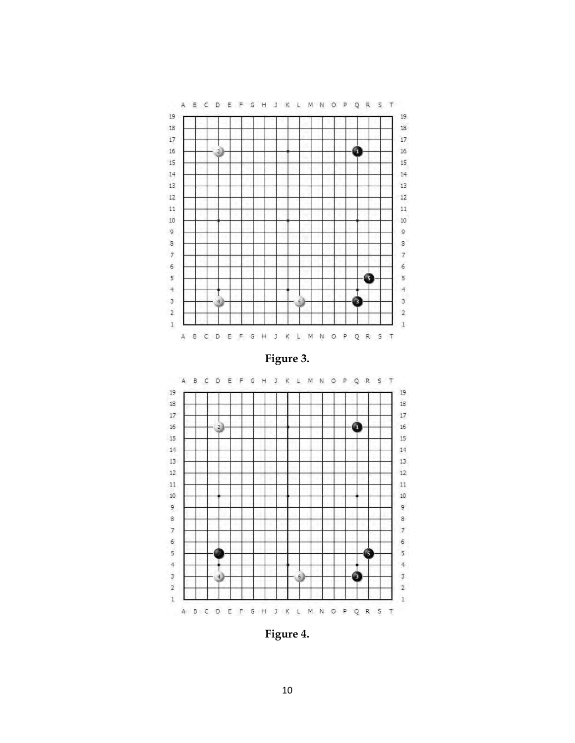

**Figure 3.** 



**Figure 4.**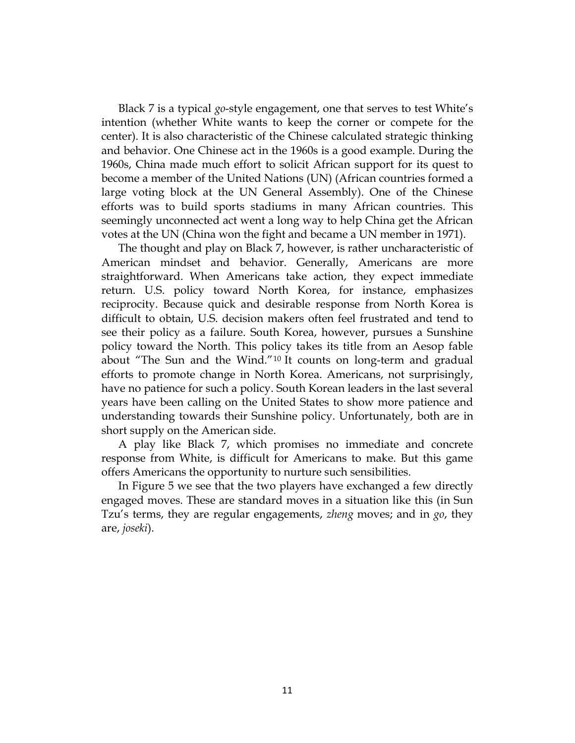Black 7 is a typical *go*-style engagement, one that serves to test White"s intention (whether White wants to keep the corner or compete for the center). It is also characteristic of the Chinese calculated strategic thinking and behavior. One Chinese act in the 1960s is a good example. During the 1960s, China made much effort to solicit African support for its quest to become a member of the United Nations (UN) (African countries formed a large voting block at the UN General Assembly). One of the Chinese efforts was to build sports stadiums in many African countries. This seemingly unconnected act went a long way to help China get the African votes at the UN (China won the fight and became a UN member in 1971).

The thought and play on Black 7, however, is rather uncharacteristic of American mindset and behavior. Generally, Americans are more straightforward. When Americans take action, they expect immediate return. U.S. policy toward North Korea, for instance, emphasizes reciprocity. Because quick and desirable response from North Korea is difficult to obtain, U.S. decision makers often feel frustrated and tend to see their policy as a failure. South Korea, however, pursues a Sunshine policy toward the North. This policy takes its title from an Aesop fable about "The Sun and the Wind."<sup>10</sup> It counts on long-term and gradual efforts to promote change in North Korea. Americans, not surprisingly, have no patience for such a policy. South Korean leaders in the last several years have been calling on the United States to show more patience and understanding towards their Sunshine policy. Unfortunately, both are in short supply on the American side.

A play like Black 7, which promises no immediate and concrete response from White, is difficult for Americans to make. But this game offers Americans the opportunity to nurture such sensibilities.

In Figure 5 we see that the two players have exchanged a few directly engaged moves. These are standard moves in a situation like this (in Sun Tzu"s terms, they are regular engagements, *zheng* moves; and in *go*, they are, *joseki*).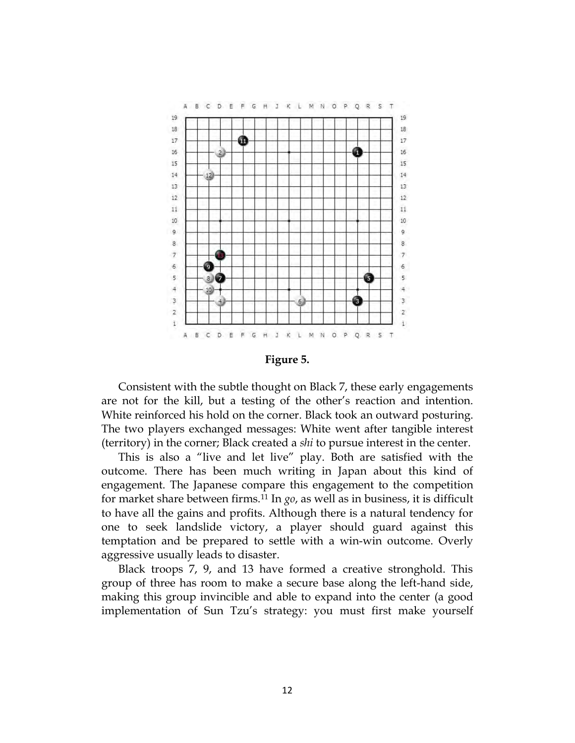

**Figure 5.** 

Consistent with the subtle thought on Black 7, these early engagements are not for the kill, but a testing of the other"s reaction and intention. White reinforced his hold on the corner. Black took an outward posturing. The two players exchanged messages: White went after tangible interest (territory) in the corner; Black created a *shi* to pursue interest in the center.

This is also a "live and let live" play. Both are satisfied with the outcome. There has been much writing in Japan about this kind of engagement. The Japanese compare this engagement to the competition for market share between firms.<sup>11</sup> In *go*, as well as in business, it is difficult to have all the gains and profits. Although there is a natural tendency for one to seek landslide victory, a player should guard against this temptation and be prepared to settle with a win-win outcome. Overly aggressive usually leads to disaster.

Black troops 7, 9, and 13 have formed a creative stronghold. This group of three has room to make a secure base along the left-hand side, making this group invincible and able to expand into the center (a good implementation of Sun Tzu"s strategy: you must first make yourself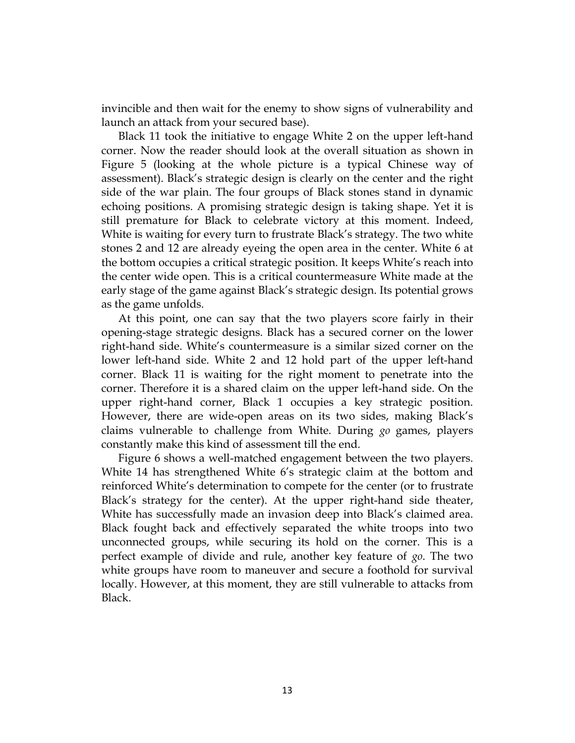invincible and then wait for the enemy to show signs of vulnerability and launch an attack from your secured base).

Black 11 took the initiative to engage White 2 on the upper left-hand corner. Now the reader should look at the overall situation as shown in Figure 5 (looking at the whole picture is a typical Chinese way of assessment). Black"s strategic design is clearly on the center and the right side of the war plain. The four groups of Black stones stand in dynamic echoing positions. A promising strategic design is taking shape. Yet it is still premature for Black to celebrate victory at this moment. Indeed, White is waiting for every turn to frustrate Black"s strategy. The two white stones 2 and 12 are already eyeing the open area in the center. White 6 at the bottom occupies a critical strategic position. It keeps White"s reach into the center wide open. This is a critical countermeasure White made at the early stage of the game against Black's strategic design. Its potential grows as the game unfolds.

At this point, one can say that the two players score fairly in their opening-stage strategic designs. Black has a secured corner on the lower right-hand side. White's countermeasure is a similar sized corner on the lower left-hand side. White 2 and 12 hold part of the upper left-hand corner. Black 11 is waiting for the right moment to penetrate into the corner. Therefore it is a shared claim on the upper left-hand side. On the upper right-hand corner, Black 1 occupies a key strategic position. However, there are wide-open areas on its two sides, making Black"s claims vulnerable to challenge from White. During *go* games, players constantly make this kind of assessment till the end.

Figure 6 shows a well-matched engagement between the two players. White 14 has strengthened White 6's strategic claim at the bottom and reinforced White"s determination to compete for the center (or to frustrate Black"s strategy for the center). At the upper right-hand side theater, White has successfully made an invasion deep into Black's claimed area. Black fought back and effectively separated the white troops into two unconnected groups, while securing its hold on the corner. This is a perfect example of divide and rule, another key feature of *go*. The two white groups have room to maneuver and secure a foothold for survival locally. However, at this moment, they are still vulnerable to attacks from Black.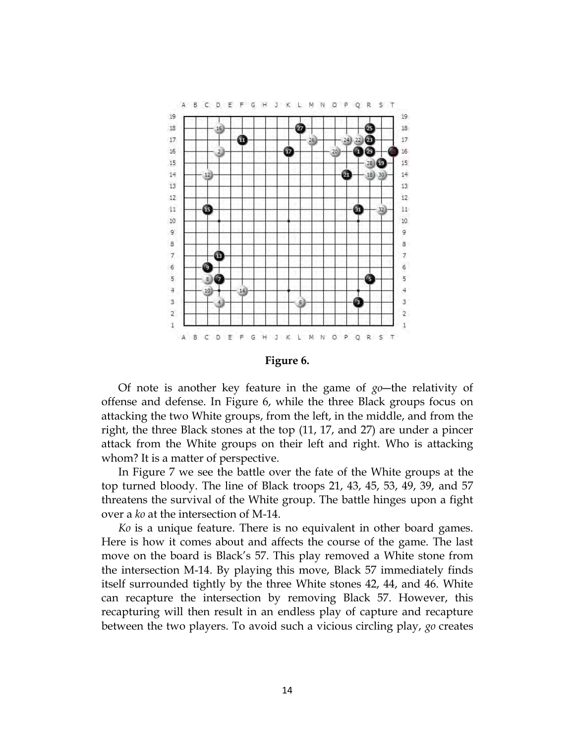

**Figure 6.** 

Of note is another key feature in the game of *go*―the relativity of offense and defense. In Figure 6, while the three Black groups focus on attacking the two White groups, from the left, in the middle, and from the right, the three Black stones at the top (11, 17, and 27) are under a pincer attack from the White groups on their left and right. Who is attacking whom? It is a matter of perspective.

In Figure 7 we see the battle over the fate of the White groups at the top turned bloody. The line of Black troops 21, 43, 45, 53, 49, 39, and 57 threatens the survival of the White group. The battle hinges upon a fight over a *ko* at the intersection of M-14.

*Ko* is a unique feature. There is no equivalent in other board games. Here is how it comes about and affects the course of the game. The last move on the board is Black's 57. This play removed a White stone from the intersection M-14. By playing this move, Black 57 immediately finds itself surrounded tightly by the three White stones 42, 44, and 46. White can recapture the intersection by removing Black 57. However, this recapturing will then result in an endless play of capture and recapture between the two players. To avoid such a vicious circling play, *go* creates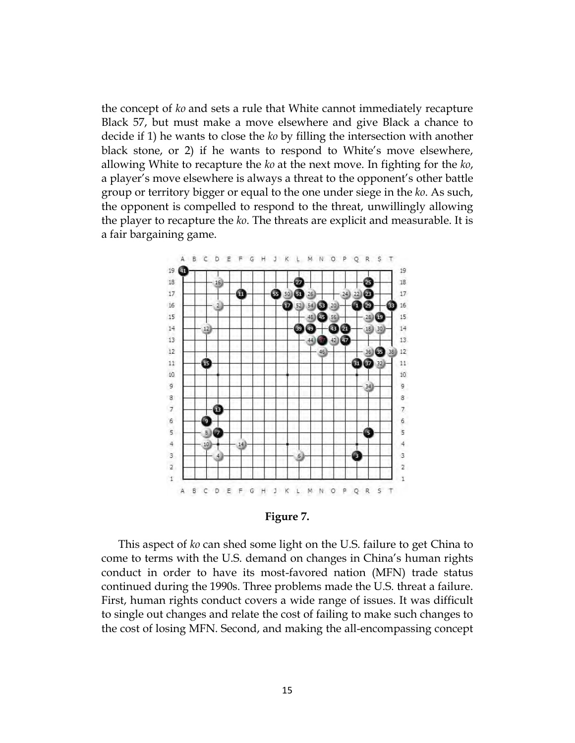the concept of *ko* and sets a rule that White cannot immediately recapture Black 57, but must make a move elsewhere and give Black a chance to decide if 1) he wants to close the *ko* by filling the intersection with another black stone, or 2) if he wants to respond to White"s move elsewhere, allowing White to recapture the *ko* at the next move. In fighting for the *ko*, a player"s move elsewhere is always a threat to the opponent"s other battle group or territory bigger or equal to the one under siege in the *ko*. As such, the opponent is compelled to respond to the threat, unwillingly allowing the player to recapture the *ko*. The threats are explicit and measurable. It is a fair bargaining game.



**Figure 7.**

This aspect of *ko* can shed some light on the U.S. failure to get China to come to terms with the U.S. demand on changes in China"s human rights conduct in order to have its most-favored nation (MFN) trade status continued during the 1990s. Three problems made the U.S. threat a failure. First, human rights conduct covers a wide range of issues. It was difficult to single out changes and relate the cost of failing to make such changes to the cost of losing MFN. Second, and making the all-encompassing concept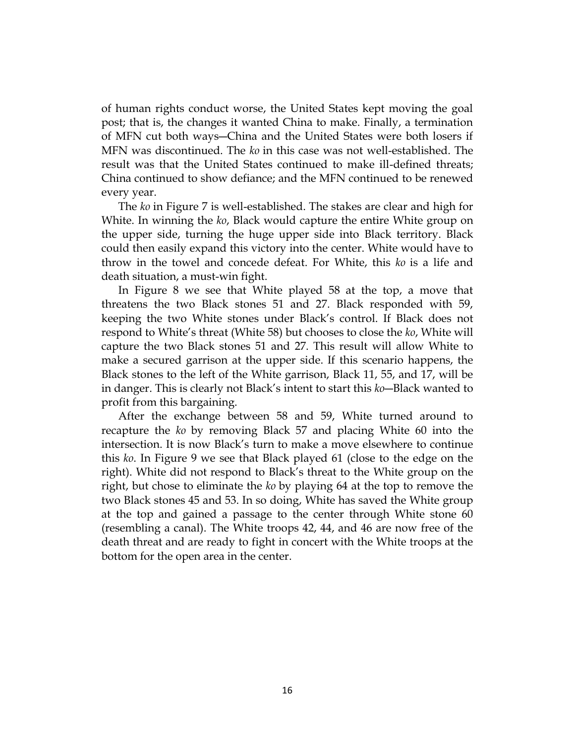of human rights conduct worse, the United States kept moving the goal post; that is, the changes it wanted China to make. Finally, a termination of MFN cut both ways―China and the United States were both losers if MFN was discontinued. The *ko* in this case was not well-established. The result was that the United States continued to make ill-defined threats; China continued to show defiance; and the MFN continued to be renewed every year.

The *ko* in Figure 7 is well-established. The stakes are clear and high for White. In winning the *ko*, Black would capture the entire White group on the upper side, turning the huge upper side into Black territory. Black could then easily expand this victory into the center. White would have to throw in the towel and concede defeat. For White, this *ko* is a life and death situation, a must-win fight.

In Figure 8 we see that White played 58 at the top, a move that threatens the two Black stones 51 and 27. Black responded with 59, keeping the two White stones under Black"s control. If Black does not respond to White"s threat (White 58) but chooses to close the *ko*, White will capture the two Black stones 51 and 27. This result will allow White to make a secured garrison at the upper side. If this scenario happens, the Black stones to the left of the White garrison, Black 11, 55, and 17, will be in danger. This is clearly not Black"s intent to start this *ko*―Black wanted to profit from this bargaining.

After the exchange between 58 and 59, White turned around to recapture the *ko* by removing Black 57 and placing White 60 into the intersection. It is now Black"s turn to make a move elsewhere to continue this *ko*. In Figure 9 we see that Black played 61 (close to the edge on the right). White did not respond to Black's threat to the White group on the right, but chose to eliminate the *ko* by playing 64 at the top to remove the two Black stones 45 and 53. In so doing, White has saved the White group at the top and gained a passage to the center through White stone 60 (resembling a canal). The White troops 42, 44, and 46 are now free of the death threat and are ready to fight in concert with the White troops at the bottom for the open area in the center.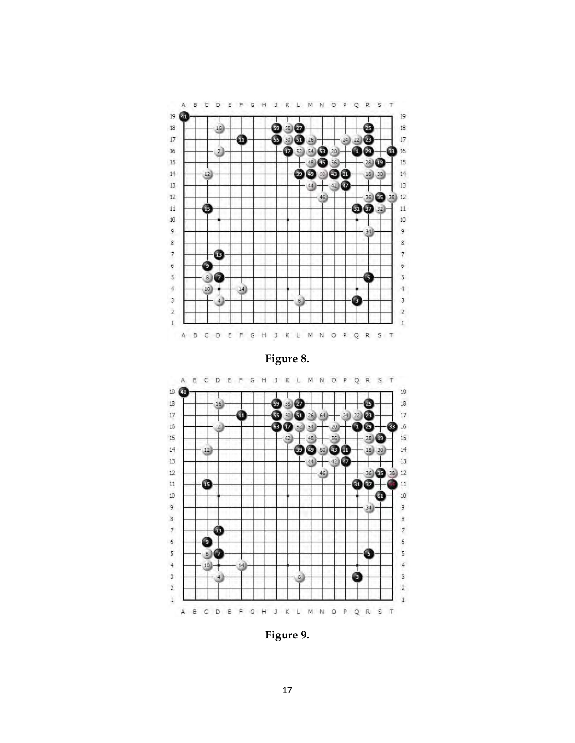

**Figure 8.** 



**Figure 9.**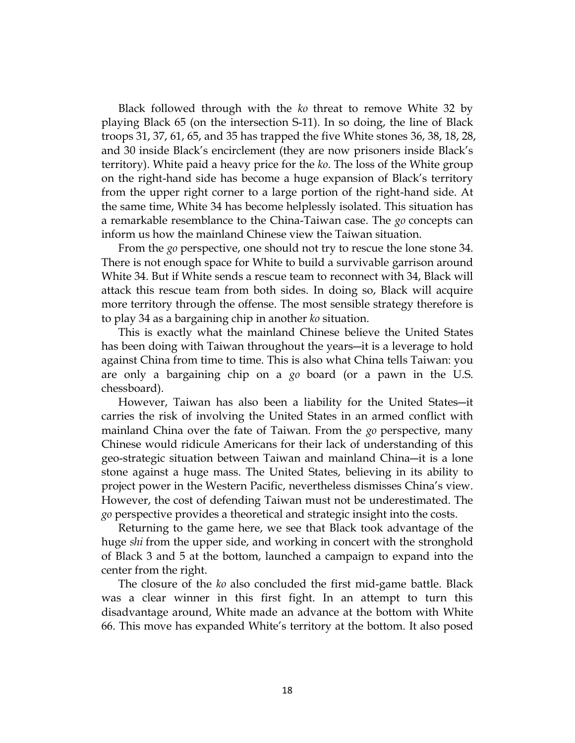Black followed through with the *ko* threat to remove White 32 by playing Black 65 (on the intersection S-11). In so doing, the line of Black troops 31, 37, 61, 65, and 35 has trapped the five White stones 36, 38, 18, 28, and 30 inside Black"s encirclement (they are now prisoners inside Black"s territory). White paid a heavy price for the *ko*. The loss of the White group on the right-hand side has become a huge expansion of Black"s territory from the upper right corner to a large portion of the right-hand side. At the same time, White 34 has become helplessly isolated. This situation has a remarkable resemblance to the China-Taiwan case. The *go* concepts can inform us how the mainland Chinese view the Taiwan situation.

From the *go* perspective, one should not try to rescue the lone stone 34. There is not enough space for White to build a survivable garrison around White 34. But if White sends a rescue team to reconnect with 34, Black will attack this rescue team from both sides. In doing so, Black will acquire more territory through the offense. The most sensible strategy therefore is to play 34 as a bargaining chip in another *ko* situation.

This is exactly what the mainland Chinese believe the United States has been doing with Taiwan throughout the years―it is a leverage to hold against China from time to time. This is also what China tells Taiwan: you are only a bargaining chip on a *go* board (or a pawn in the U.S. chessboard).

However, Taiwan has also been a liability for the United States―it carries the risk of involving the United States in an armed conflict with mainland China over the fate of Taiwan. From the *go* perspective, many Chinese would ridicule Americans for their lack of understanding of this geo-strategic situation between Taiwan and mainland China―it is a lone stone against a huge mass. The United States, believing in its ability to project power in the Western Pacific, nevertheless dismisses China"s view. However, the cost of defending Taiwan must not be underestimated. The *go* perspective provides a theoretical and strategic insight into the costs.

Returning to the game here, we see that Black took advantage of the huge *shi* from the upper side, and working in concert with the stronghold of Black 3 and 5 at the bottom, launched a campaign to expand into the center from the right.

The closure of the *ko* also concluded the first mid-game battle. Black was a clear winner in this first fight. In an attempt to turn this disadvantage around, White made an advance at the bottom with White 66. This move has expanded White"s territory at the bottom. It also posed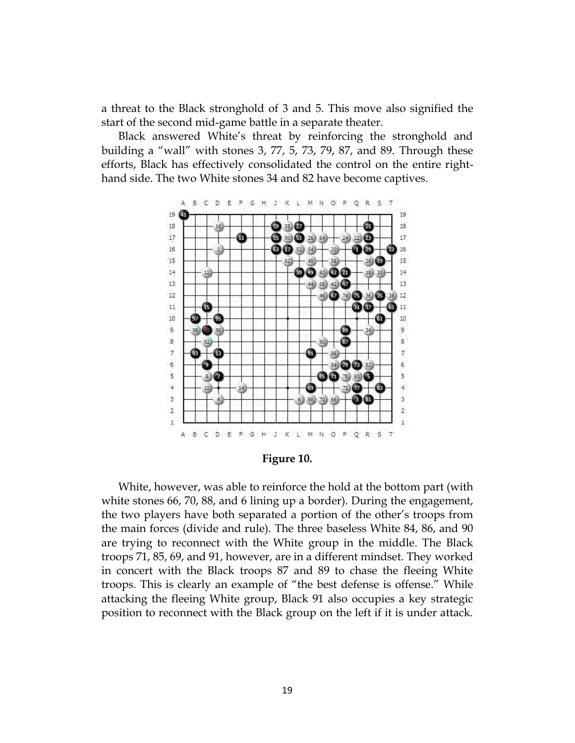a threat to the Black stronghold of 3 and 5. This move also signified the start of the second mid-game battle in a separate theater.

Black answered White's threat by reinforcing the stronghold and building a "wall" with stones 3, 77, 5, 73, 79, 87, and 89. Through these efforts, Black has effectively consolidated the control on the entire righthand side. The two White stones 34 and 82 have become captives.



**Figure 10.**

White, however, was able to reinforce the hold at the bottom part (with white stones 66, 70, 88, and 6 lining up a border). During the engagement, the two players have both separated a portion of the other"s troops from the main forces (divide and rule). The three baseless White 84, 86, and 90 are trying to reconnect with the White group in the middle. The Black troops 71, 85, 69, and 91, however, are in a different mindset. They worked in concert with the Black troops 87 and 89 to chase the fleeing White troops. This is clearly an example of "the best defense is offense." While attacking the fleeing White group, Black 91 also occupies a key strategic position to reconnect with the Black group on the left if it is under attack.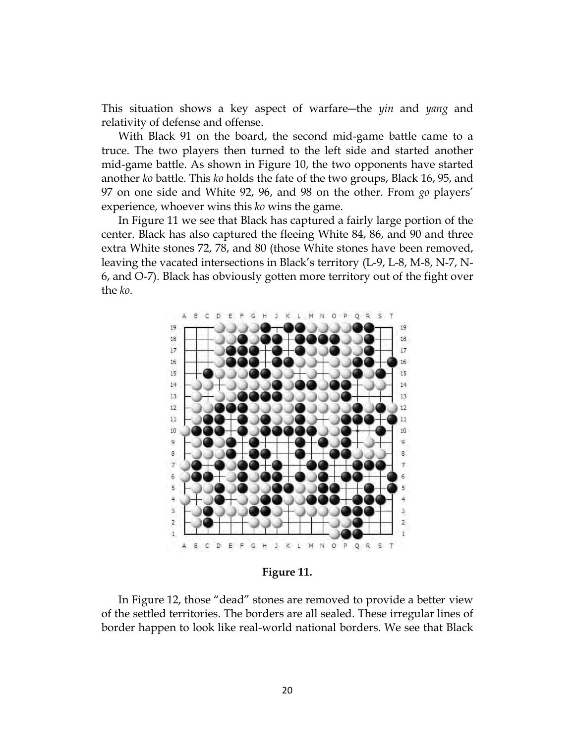This situation shows a key aspect of warfare―the *yin* and *yang* and relativity of defense and offense.

With Black 91 on the board, the second mid-game battle came to a truce. The two players then turned to the left side and started another mid-game battle. As shown in Figure 10, the two opponents have started another *ko* battle. This *ko* holds the fate of the two groups, Black 16, 95, and 97 on one side and White 92, 96, and 98 on the other. From *go* players" experience, whoever wins this *ko* wins the game.

In Figure 11 we see that Black has captured a fairly large portion of the center. Black has also captured the fleeing White 84, 86, and 90 and three extra White stones 72, 78, and 80 (those White stones have been removed, leaving the vacated intersections in Black"s territory (L-9, L-8, M-8, N-7, N-6, and O-7). Black has obviously gotten more territory out of the fight over the *ko*.



**Figure 11.** 

In Figure 12, those "dead" stones are removed to provide a better view of the settled territories. The borders are all sealed. These irregular lines of border happen to look like real-world national borders. We see that Black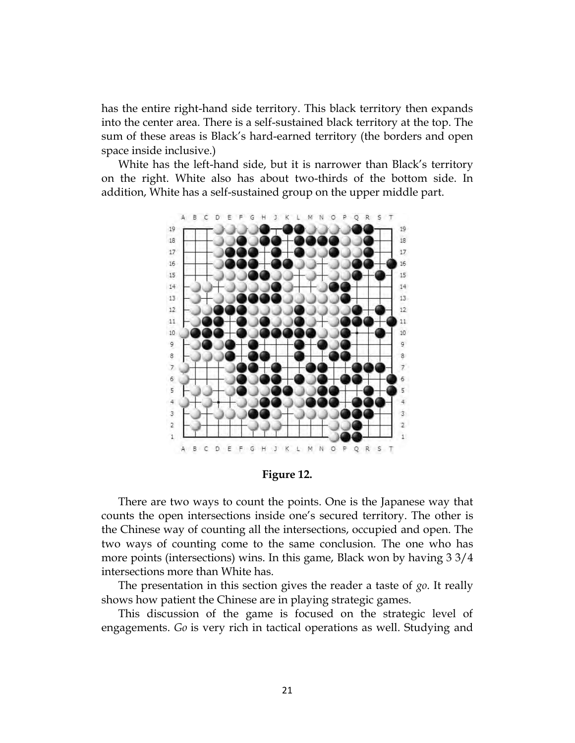has the entire right-hand side territory. This black territory then expands into the center area. There is a self-sustained black territory at the top. The sum of these areas is Black"s hard-earned territory (the borders and open space inside inclusive.)

White has the left-hand side, but it is narrower than Black's territory on the right. White also has about two-thirds of the bottom side. In addition, White has a self-sustained group on the upper middle part.



**Figure 12.** 

There are two ways to count the points. One is the Japanese way that counts the open intersections inside one"s secured territory. The other is the Chinese way of counting all the intersections, occupied and open. The two ways of counting come to the same conclusion. The one who has more points (intersections) wins. In this game, Black won by having 3 3/4 intersections more than White has.

The presentation in this section gives the reader a taste of *go*. It really shows how patient the Chinese are in playing strategic games.

This discussion of the game is focused on the strategic level of engagements. *Go* is very rich in tactical operations as well. Studying and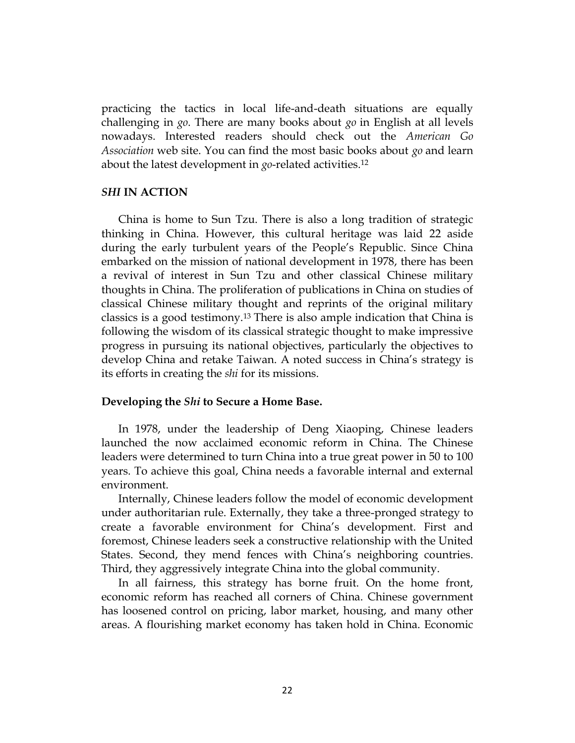practicing the tactics in local life-and-death situations are equally challenging in *go*. There are many books about *go* in English at all levels nowadays. Interested readers should check out the *American Go Association* web site. You can find the most basic books about *go* and learn about the latest development in *go*-related activities.<sup>12</sup>

## *SHI* **IN ACTION**

China is home to Sun Tzu. There is also a long tradition of strategic thinking in China. However, this cultural heritage was laid 22 aside during the early turbulent years of the People"s Republic. Since China embarked on the mission of national development in 1978, there has been a revival of interest in Sun Tzu and other classical Chinese military thoughts in China. The proliferation of publications in China on studies of classical Chinese military thought and reprints of the original military classics is a good testimony.<sup>13</sup> There is also ample indication that China is following the wisdom of its classical strategic thought to make impressive progress in pursuing its national objectives, particularly the objectives to develop China and retake Taiwan. A noted success in China's strategy is its efforts in creating the *shi* for its missions.

#### **Developing the** *Shi* **to Secure a Home Base.**

In 1978, under the leadership of Deng Xiaoping, Chinese leaders launched the now acclaimed economic reform in China. The Chinese leaders were determined to turn China into a true great power in 50 to 100 years. To achieve this goal, China needs a favorable internal and external environment.

Internally, Chinese leaders follow the model of economic development under authoritarian rule. Externally, they take a three-pronged strategy to create a favorable environment for China"s development. First and foremost, Chinese leaders seek a constructive relationship with the United States. Second, they mend fences with China"s neighboring countries. Third, they aggressively integrate China into the global community.

In all fairness, this strategy has borne fruit. On the home front, economic reform has reached all corners of China. Chinese government has loosened control on pricing, labor market, housing, and many other areas. A flourishing market economy has taken hold in China. Economic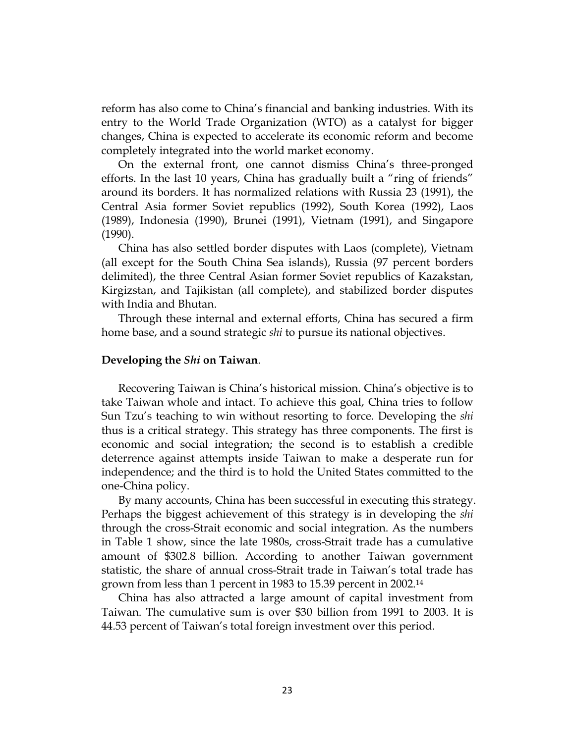reform has also come to China"s financial and banking industries. With its entry to the World Trade Organization (WTO) as a catalyst for bigger changes, China is expected to accelerate its economic reform and become completely integrated into the world market economy.

On the external front, one cannot dismiss China"s three-pronged efforts. In the last 10 years, China has gradually built a "ring of friends" around its borders. It has normalized relations with Russia 23 (1991), the Central Asia former Soviet republics (1992), South Korea (1992), Laos (1989), Indonesia (1990), Brunei (1991), Vietnam (1991), and Singapore (1990).

China has also settled border disputes with Laos (complete), Vietnam (all except for the South China Sea islands), Russia (97 percent borders delimited), the three Central Asian former Soviet republics of Kazakstan, Kirgizstan, and Tajikistan (all complete), and stabilized border disputes with India and Bhutan.

Through these internal and external efforts, China has secured a firm home base, and a sound strategic *shi* to pursue its national objectives.

## **Developing the** *Shi* **on Taiwan**.

Recovering Taiwan is China"s historical mission. China"s objective is to take Taiwan whole and intact. To achieve this goal, China tries to follow Sun Tzu"s teaching to win without resorting to force. Developing the *shi*  thus is a critical strategy. This strategy has three components. The first is economic and social integration; the second is to establish a credible deterrence against attempts inside Taiwan to make a desperate run for independence; and the third is to hold the United States committed to the one-China policy.

By many accounts, China has been successful in executing this strategy. Perhaps the biggest achievement of this strategy is in developing the *shi*  through the cross-Strait economic and social integration. As the numbers in Table 1 show, since the late 1980s, cross-Strait trade has a cumulative amount of \$302.8 billion. According to another Taiwan government statistic, the share of annual cross-Strait trade in Taiwan"s total trade has grown from less than 1 percent in 1983 to 15.39 percent in 2002.<sup>14</sup>

China has also attracted a large amount of capital investment from Taiwan. The cumulative sum is over \$30 billion from 1991 to 2003. It is 44.53 percent of Taiwan"s total foreign investment over this period.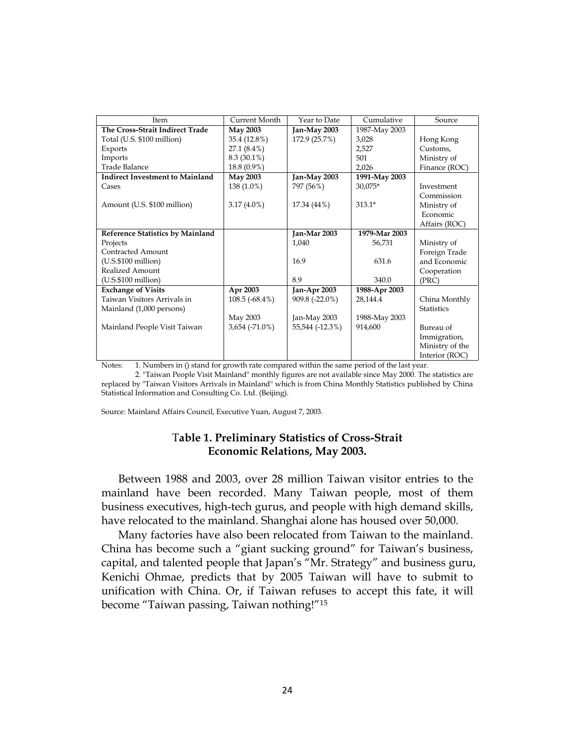| Item                                   | Current Month         | Year to Date     | Cumulative    | Source            |
|----------------------------------------|-----------------------|------------------|---------------|-------------------|
| The Cross-Strait Indirect Trade        | <b>May 2003</b>       | Jan-May 2003     | 1987-May 2003 |                   |
| Total (U.S. \$100 million)             | 35.4 (12.8%)          | 172.9 (25.7%)    | 3,028         | Hong Kong         |
| Exports                                | 27.1 (8.4%)           |                  | 2,527         | Customs.          |
| Imports                                | 8.3 (30.1%)           |                  | 501           | Ministry of       |
| Trade Balance                          | 18.8 (0.9%)           |                  | 2.026         | Finance (ROC)     |
| <b>Indirect Investment to Mainland</b> | <b>May 2003</b>       | Jan-May 2003     | 1991-May 2003 |                   |
| Cases                                  | 138 (1.0%)            | 797 (56%)        | 30,075*       | Investment        |
|                                        |                       |                  |               | Commission        |
| Amount (U.S. \$100 million)            | $3.17(4.0\%)$         | 17.34 (44%)      | $313.1*$      | Ministry of       |
|                                        |                       |                  |               | Economic          |
|                                        |                       |                  |               | Affairs (ROC)     |
| Reference Statistics by Mainland       |                       | Jan-Mar 2003     | 1979-Mar 2003 |                   |
| Projects                               |                       | 1.040            | 56,731        | Ministry of       |
| Contracted Amount                      |                       |                  |               | Foreign Trade     |
| (U.S. \$100 million)                   |                       | 16.9             | 631.6         | and Economic      |
| Realized Amount                        |                       |                  |               | Cooperation       |
| $(U.S. $100$ million)                  |                       | 8.9              | 340.0         | (PRC)             |
| <b>Exchange of Visits</b>              | Apr 2003              | Jan-Apr 2003     | 1988-Apr 2003 |                   |
| Taiwan Visitors Arrivals in            | $108.5(-68.4\%)$      | $909.8(-22.0\%)$ | 28,144.4      | China Monthly     |
| Mainland (1,000 persons)               |                       |                  |               | <b>Statistics</b> |
|                                        | May 2003              | Jan-May 2003     | 1988-May 2003 |                   |
| Mainland People Visit Taiwan           | $3,654$ ( $-71.0\%$ ) | 55,544 (-12.3%)  | 914,600       | Bureau of         |
|                                        |                       |                  |               | Immigration,      |
|                                        |                       |                  |               | Ministry of the   |
|                                        |                       |                  |               | Interior (ROC)    |

Notes: 1. Numbers in () stand for growth rate compared within the same period of the last year.

2. "Taiwan People Visit Mainland" monthly figures are not available since May 2000. The statistics are replaced by "Taiwan Visitors Arrivals in Mainland" which is from China Monthly Statistics published by China Statistical Information and Consulting Co. Ltd. (Beijing).

Source: Mainland Affairs Council, Executive Yuan, August 7, 2003.

## T**able 1. Preliminary Statistics of Cross-Strait Economic Relations, May 2003.**

Between 1988 and 2003, over 28 million Taiwan visitor entries to the mainland have been recorded. Many Taiwan people, most of them business executives, high-tech gurus, and people with high demand skills, have relocated to the mainland. Shanghai alone has housed over 50,000.

Many factories have also been relocated from Taiwan to the mainland. China has become such a "giant sucking ground" for Taiwan"s business, capital, and talented people that Japan"s "Mr. Strategy" and business guru, Kenichi Ohmae, predicts that by 2005 Taiwan will have to submit to unification with China. Or, if Taiwan refuses to accept this fate, it will become "Taiwan passing, Taiwan nothing!"<sup>15</sup>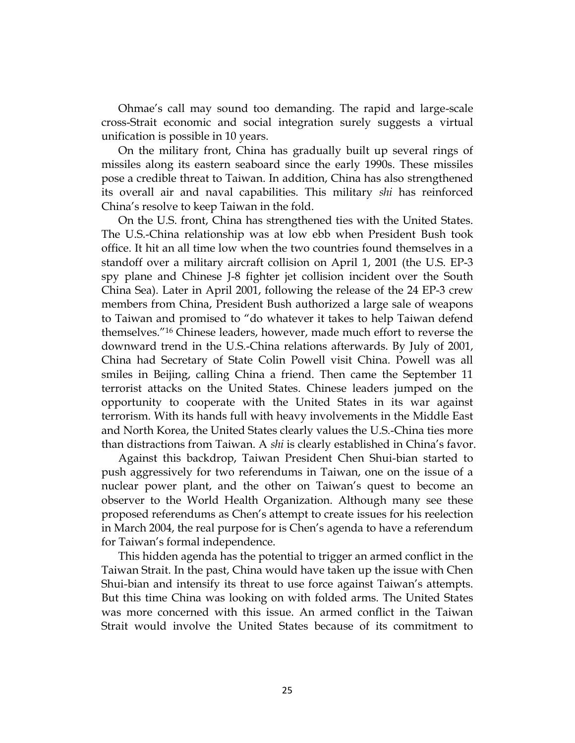Ohmae"s call may sound too demanding. The rapid and large-scale cross-Strait economic and social integration surely suggests a virtual unification is possible in 10 years.

On the military front, China has gradually built up several rings of missiles along its eastern seaboard since the early 1990s. These missiles pose a credible threat to Taiwan. In addition, China has also strengthened its overall air and naval capabilities. This military *shi* has reinforced China"s resolve to keep Taiwan in the fold.

On the U.S. front, China has strengthened ties with the United States. The U.S.-China relationship was at low ebb when President Bush took office. It hit an all time low when the two countries found themselves in a standoff over a military aircraft collision on April 1, 2001 (the U.S. EP-3 spy plane and Chinese J-8 fighter jet collision incident over the South China Sea). Later in April 2001, following the release of the 24 EP-3 crew members from China, President Bush authorized a large sale of weapons to Taiwan and promised to "do whatever it takes to help Taiwan defend themselves."<sup>16</sup> Chinese leaders, however, made much effort to reverse the downward trend in the U.S.-China relations afterwards. By July of 2001, China had Secretary of State Colin Powell visit China. Powell was all smiles in Beijing, calling China a friend. Then came the September 11 terrorist attacks on the United States. Chinese leaders jumped on the opportunity to cooperate with the United States in its war against terrorism. With its hands full with heavy involvements in the Middle East and North Korea, the United States clearly values the U.S.-China ties more than distractions from Taiwan. A *shi* is clearly established in China"s favor.

Against this backdrop, Taiwan President Chen Shui-bian started to push aggressively for two referendums in Taiwan, one on the issue of a nuclear power plant, and the other on Taiwan"s quest to become an observer to the World Health Organization. Although many see these proposed referendums as Chen"s attempt to create issues for his reelection in March 2004, the real purpose for is Chen's agenda to have a referendum for Taiwan"s formal independence.

This hidden agenda has the potential to trigger an armed conflict in the Taiwan Strait. In the past, China would have taken up the issue with Chen Shui-bian and intensify its threat to use force against Taiwan"s attempts. But this time China was looking on with folded arms. The United States was more concerned with this issue. An armed conflict in the Taiwan Strait would involve the United States because of its commitment to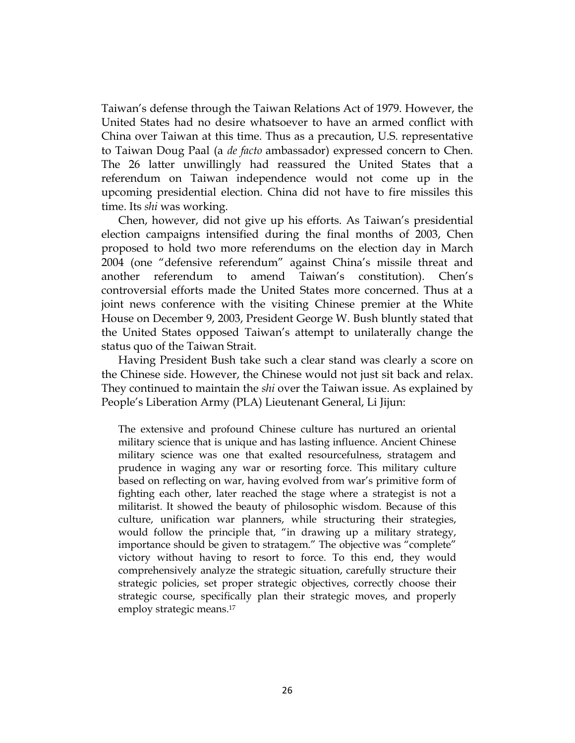Taiwan"s defense through the Taiwan Relations Act of 1979. However, the United States had no desire whatsoever to have an armed conflict with China over Taiwan at this time. Thus as a precaution, U.S. representative to Taiwan Doug Paal (a *de facto* ambassador) expressed concern to Chen. The 26 latter unwillingly had reassured the United States that a referendum on Taiwan independence would not come up in the upcoming presidential election. China did not have to fire missiles this time. Its *shi* was working.

Chen, however, did not give up his efforts. As Taiwan"s presidential election campaigns intensified during the final months of 2003, Chen proposed to hold two more referendums on the election day in March 2004 (one "defensive referendum" against China"s missile threat and another referendum to amend Taiwan"s constitution). Chen"s controversial efforts made the United States more concerned. Thus at a joint news conference with the visiting Chinese premier at the White House on December 9, 2003, President George W. Bush bluntly stated that the United States opposed Taiwan"s attempt to unilaterally change the status quo of the Taiwan Strait.

Having President Bush take such a clear stand was clearly a score on the Chinese side. However, the Chinese would not just sit back and relax. They continued to maintain the *shi* over the Taiwan issue. As explained by People"s Liberation Army (PLA) Lieutenant General, Li Jijun:

The extensive and profound Chinese culture has nurtured an oriental military science that is unique and has lasting influence. Ancient Chinese military science was one that exalted resourcefulness, stratagem and prudence in waging any war or resorting force. This military culture based on reflecting on war, having evolved from war"s primitive form of fighting each other, later reached the stage where a strategist is not a militarist. It showed the beauty of philosophic wisdom. Because of this culture, unification war planners, while structuring their strategies, would follow the principle that, "in drawing up a military strategy, importance should be given to stratagem." The objective was "complete" victory without having to resort to force. To this end, they would comprehensively analyze the strategic situation, carefully structure their strategic policies, set proper strategic objectives, correctly choose their strategic course, specifically plan their strategic moves, and properly employ strategic means.<sup>17</sup>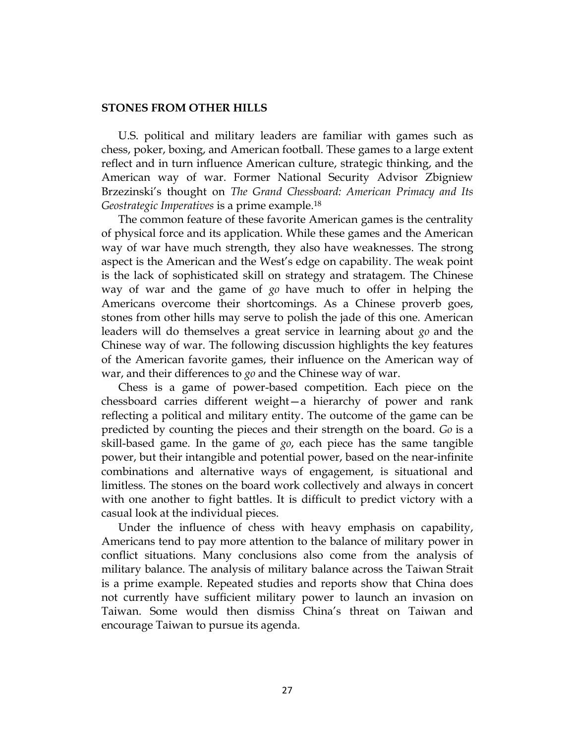#### **STONES FROM OTHER HILLS**

U.S. political and military leaders are familiar with games such as chess, poker, boxing, and American football. These games to a large extent reflect and in turn influence American culture, strategic thinking, and the American way of war. Former National Security Advisor Zbigniew Brzezinski"s thought on *The Grand Chessboard: American Primacy and Its Geostrategic Imperatives* is a prime example.<sup>18</sup>

The common feature of these favorite American games is the centrality of physical force and its application. While these games and the American way of war have much strength, they also have weaknesses. The strong aspect is the American and the West"s edge on capability. The weak point is the lack of sophisticated skill on strategy and stratagem. The Chinese way of war and the game of *go* have much to offer in helping the Americans overcome their shortcomings. As a Chinese proverb goes, stones from other hills may serve to polish the jade of this one. American leaders will do themselves a great service in learning about *go* and the Chinese way of war. The following discussion highlights the key features of the American favorite games, their influence on the American way of war, and their differences to *go* and the Chinese way of war.

Chess is a game of power-based competition. Each piece on the chessboard carries different weight—a hierarchy of power and rank reflecting a political and military entity. The outcome of the game can be predicted by counting the pieces and their strength on the board. *Go* is a skill-based game. In the game of *go*, each piece has the same tangible power, but their intangible and potential power, based on the near-infinite combinations and alternative ways of engagement, is situational and limitless. The stones on the board work collectively and always in concert with one another to fight battles. It is difficult to predict victory with a casual look at the individual pieces.

Under the influence of chess with heavy emphasis on capability, Americans tend to pay more attention to the balance of military power in conflict situations. Many conclusions also come from the analysis of military balance. The analysis of military balance across the Taiwan Strait is a prime example. Repeated studies and reports show that China does not currently have sufficient military power to launch an invasion on Taiwan. Some would then dismiss China"s threat on Taiwan and encourage Taiwan to pursue its agenda.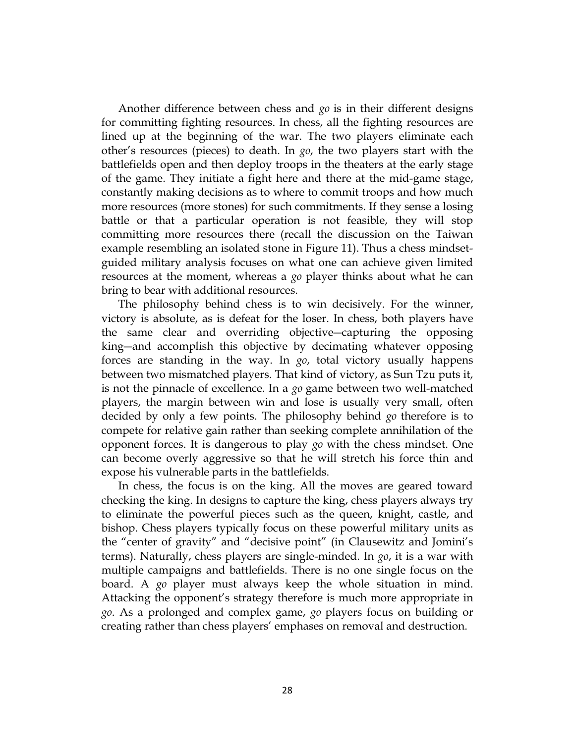Another difference between chess and *go* is in their different designs for committing fighting resources. In chess, all the fighting resources are lined up at the beginning of the war. The two players eliminate each other"s resources (pieces) to death. In *go*, the two players start with the battlefields open and then deploy troops in the theaters at the early stage of the game. They initiate a fight here and there at the mid-game stage, constantly making decisions as to where to commit troops and how much more resources (more stones) for such commitments. If they sense a losing battle or that a particular operation is not feasible, they will stop committing more resources there (recall the discussion on the Taiwan example resembling an isolated stone in Figure 11). Thus a chess mindsetguided military analysis focuses on what one can achieve given limited resources at the moment, whereas a *go* player thinks about what he can bring to bear with additional resources.

The philosophy behind chess is to win decisively. For the winner, victory is absolute, as is defeat for the loser. In chess, both players have the same clear and overriding objective―capturing the opposing king―and accomplish this objective by decimating whatever opposing forces are standing in the way. In *go*, total victory usually happens between two mismatched players. That kind of victory, as Sun Tzu puts it, is not the pinnacle of excellence. In a *go* game between two well-matched players, the margin between win and lose is usually very small, often decided by only a few points. The philosophy behind *go* therefore is to compete for relative gain rather than seeking complete annihilation of the opponent forces. It is dangerous to play *go* with the chess mindset. One can become overly aggressive so that he will stretch his force thin and expose his vulnerable parts in the battlefields.

In chess, the focus is on the king. All the moves are geared toward checking the king. In designs to capture the king, chess players always try to eliminate the powerful pieces such as the queen, knight, castle, and bishop. Chess players typically focus on these powerful military units as the "center of gravity" and "decisive point" (in Clausewitz and Jomini"s terms). Naturally, chess players are single-minded. In *go*, it is a war with multiple campaigns and battlefields. There is no one single focus on the board. A *go* player must always keep the whole situation in mind. Attacking the opponent's strategy therefore is much more appropriate in *go*. As a prolonged and complex game, *go* players focus on building or creating rather than chess players" emphases on removal and destruction.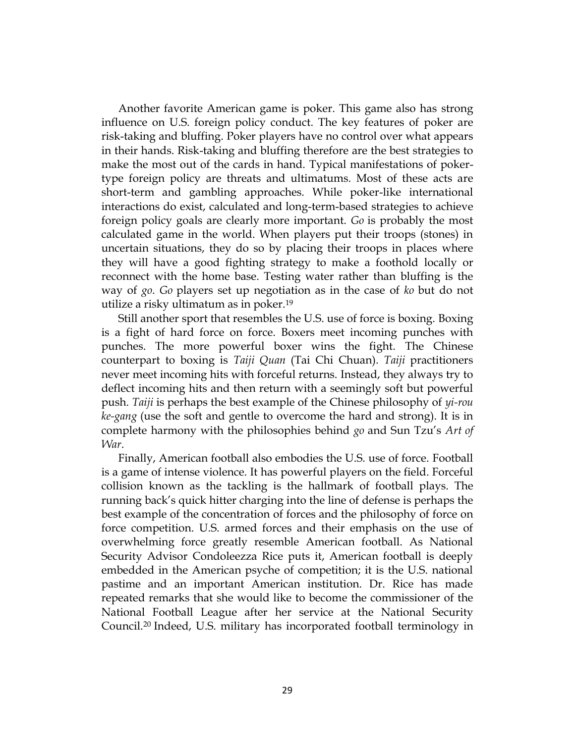Another favorite American game is poker. This game also has strong influence on U.S. foreign policy conduct. The key features of poker are risk-taking and bluffing. Poker players have no control over what appears in their hands. Risk-taking and bluffing therefore are the best strategies to make the most out of the cards in hand. Typical manifestations of pokertype foreign policy are threats and ultimatums. Most of these acts are short-term and gambling approaches. While poker-like international interactions do exist, calculated and long-term-based strategies to achieve foreign policy goals are clearly more important. *Go* is probably the most calculated game in the world. When players put their troops (stones) in uncertain situations, they do so by placing their troops in places where they will have a good fighting strategy to make a foothold locally or reconnect with the home base. Testing water rather than bluffing is the way of *go*. *Go* players set up negotiation as in the case of *ko* but do not utilize a risky ultimatum as in poker.<sup>19</sup>

Still another sport that resembles the U.S. use of force is boxing. Boxing is a fight of hard force on force. Boxers meet incoming punches with punches. The more powerful boxer wins the fight. The Chinese counterpart to boxing is *Taiji Quan* (Tai Chi Chuan). *Taiji* practitioners never meet incoming hits with forceful returns. Instead, they always try to deflect incoming hits and then return with a seemingly soft but powerful push. *Taiji* is perhaps the best example of the Chinese philosophy of *yi-rou ke-gang* (use the soft and gentle to overcome the hard and strong). It is in complete harmony with the philosophies behind *go* and Sun Tzu"s *Art of War*.

Finally, American football also embodies the U.S. use of force. Football is a game of intense violence. It has powerful players on the field. Forceful collision known as the tackling is the hallmark of football plays. The running back"s quick hitter charging into the line of defense is perhaps the best example of the concentration of forces and the philosophy of force on force competition. U.S. armed forces and their emphasis on the use of overwhelming force greatly resemble American football. As National Security Advisor Condoleezza Rice puts it, American football is deeply embedded in the American psyche of competition; it is the U.S. national pastime and an important American institution. Dr. Rice has made repeated remarks that she would like to become the commissioner of the National Football League after her service at the National Security Council.<sup>20</sup> Indeed, U.S. military has incorporated football terminology in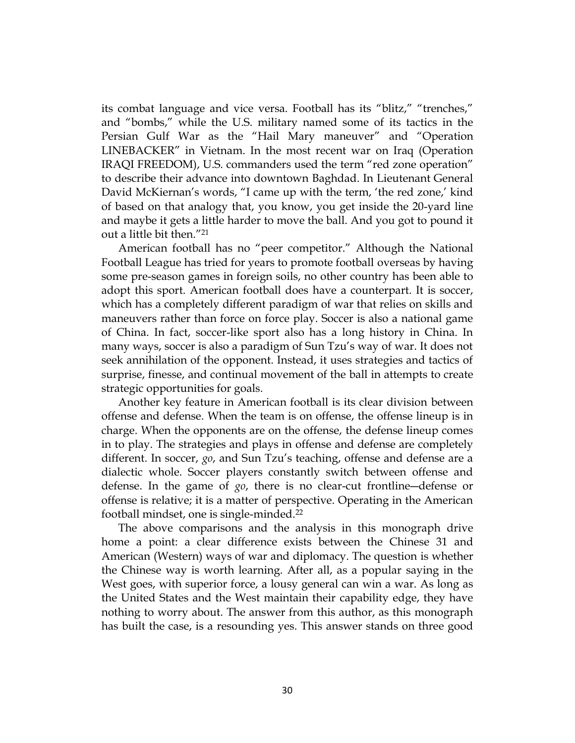its combat language and vice versa. Football has its "blitz," "trenches," and "bombs," while the U.S. military named some of its tactics in the Persian Gulf War as the "Hail Mary maneuver" and "Operation LINEBACKER" in Vietnam. In the most recent war on Iraq (Operation IRAQI FREEDOM), U.S. commanders used the term "red zone operation" to describe their advance into downtown Baghdad. In Lieutenant General David McKiernan's words, "I came up with the term, 'the red zone,' kind of based on that analogy that, you know, you get inside the 20-yard line and maybe it gets a little harder to move the ball. And you got to pound it out a little bit then."<sup>21</sup>

American football has no "peer competitor." Although the National Football League has tried for years to promote football overseas by having some pre-season games in foreign soils, no other country has been able to adopt this sport. American football does have a counterpart. It is soccer, which has a completely different paradigm of war that relies on skills and maneuvers rather than force on force play. Soccer is also a national game of China. In fact, soccer-like sport also has a long history in China. In many ways, soccer is also a paradigm of Sun Tzu"s way of war. It does not seek annihilation of the opponent. Instead, it uses strategies and tactics of surprise, finesse, and continual movement of the ball in attempts to create strategic opportunities for goals.

Another key feature in American football is its clear division between offense and defense. When the team is on offense, the offense lineup is in charge. When the opponents are on the offense, the defense lineup comes in to play. The strategies and plays in offense and defense are completely different. In soccer, *go*, and Sun Tzu"s teaching, offense and defense are a dialectic whole. Soccer players constantly switch between offense and defense. In the game of *go*, there is no clear-cut frontline―defense or offense is relative; it is a matter of perspective. Operating in the American football mindset, one is single-minded.<sup>22</sup>

The above comparisons and the analysis in this monograph drive home a point: a clear difference exists between the Chinese 31 and American (Western) ways of war and diplomacy. The question is whether the Chinese way is worth learning. After all, as a popular saying in the West goes, with superior force, a lousy general can win a war. As long as the United States and the West maintain their capability edge, they have nothing to worry about. The answer from this author, as this monograph has built the case, is a resounding yes. This answer stands on three good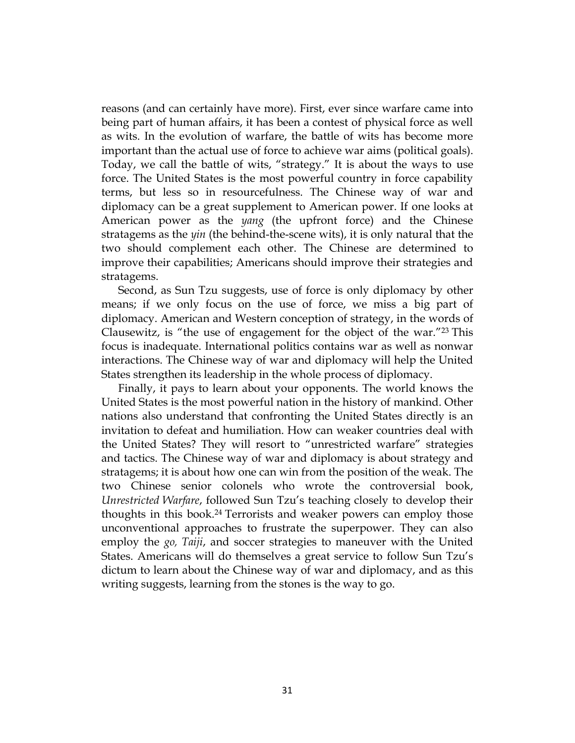reasons (and can certainly have more). First, ever since warfare came into being part of human affairs, it has been a contest of physical force as well as wits. In the evolution of warfare, the battle of wits has become more important than the actual use of force to achieve war aims (political goals). Today, we call the battle of wits, "strategy." It is about the ways to use force. The United States is the most powerful country in force capability terms, but less so in resourcefulness. The Chinese way of war and diplomacy can be a great supplement to American power. If one looks at American power as the *yang* (the upfront force) and the Chinese stratagems as the *yin* (the behind-the-scene wits), it is only natural that the two should complement each other. The Chinese are determined to improve their capabilities; Americans should improve their strategies and stratagems.

Second, as Sun Tzu suggests, use of force is only diplomacy by other means; if we only focus on the use of force, we miss a big part of diplomacy. American and Western conception of strategy, in the words of Clausewitz, is "the use of engagement for the object of the war."<sup>23</sup> This focus is inadequate. International politics contains war as well as nonwar interactions. The Chinese way of war and diplomacy will help the United States strengthen its leadership in the whole process of diplomacy.

Finally, it pays to learn about your opponents. The world knows the United States is the most powerful nation in the history of mankind. Other nations also understand that confronting the United States directly is an invitation to defeat and humiliation. How can weaker countries deal with the United States? They will resort to "unrestricted warfare" strategies and tactics. The Chinese way of war and diplomacy is about strategy and stratagems; it is about how one can win from the position of the weak. The two Chinese senior colonels who wrote the controversial book, *Unrestricted Warfare*, followed Sun Tzu"s teaching closely to develop their thoughts in this book.<sup>24</sup> Terrorists and weaker powers can employ those unconventional approaches to frustrate the superpower. They can also employ the *go, Taiji*, and soccer strategies to maneuver with the United States. Americans will do themselves a great service to follow Sun Tzu"s dictum to learn about the Chinese way of war and diplomacy, and as this writing suggests, learning from the stones is the way to go.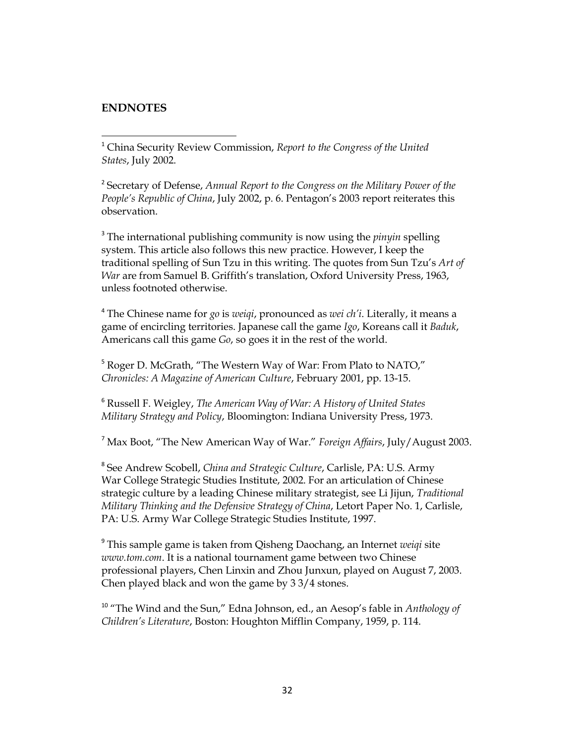# **ENDNOTES**

 $\overline{a}$ <sup>1</sup> China Security Review Commission, *Report to the Congress of the United States*, July 2002.

2 Secretary of Defense, *Annual Report to the Congress on the Military Power of the People's Republic of China, July 2002, p. 6. Pentagon's 2003 report reiterates this* observation.

<sup>3</sup> The international publishing community is now using the *pinyin* spelling system. This article also follows this new practice. However, I keep the traditional spelling of Sun Tzu in this writing. The quotes from Sun Tzu"s *Art of War* are from Samuel B. Griffith"s translation, Oxford University Press, 1963, unless footnoted otherwise.

<sup>4</sup> The Chinese name for *go* is *weiqi*, pronounced as *wei ch'i*. Literally, it means a game of encircling territories. Japanese call the game *Igo*, Koreans call it *Baduk*, Americans call this game *Go*, so goes it in the rest of the world.

<sup>5</sup> Roger D. McGrath, "The Western Way of War: From Plato to NATO," *Chronicles: A Magazine of American Culture*, February 2001, pp. 13-15.

<sup>6</sup> Russell F. Weigley, *The American Way of War: A History of United States Military Strategy and Policy*, Bloomington: Indiana University Press, 1973.

<sup>7</sup> Max Boot, "The New American Way of War." *Foreign Affairs*, July/August 2003.

8 See Andrew Scobell, *China and Strategic Culture*, Carlisle, PA: U.S. Army War College Strategic Studies Institute, 2002. For an articulation of Chinese strategic culture by a leading Chinese military strategist, see Li Jijun, *Traditional Military Thinking and the Defensive Strategy of China*, Letort Paper No. 1, Carlisle, PA: U.S. Army War College Strategic Studies Institute, 1997.

<sup>9</sup> This sample game is taken from Qisheng Daochang, an Internet *weiqi* site *www.tom.com*. It is a national tournament game between two Chinese professional players, Chen Linxin and Zhou Junxun, played on August 7, 2003. Chen played black and won the game by 3 3/4 stones.

<sup>10</sup> "The Wind and the Sun," Edna Johnson, ed., an Aesop's fable in *Anthology of Children's Literature*, Boston: Houghton Mifflin Company, 1959, p. 114.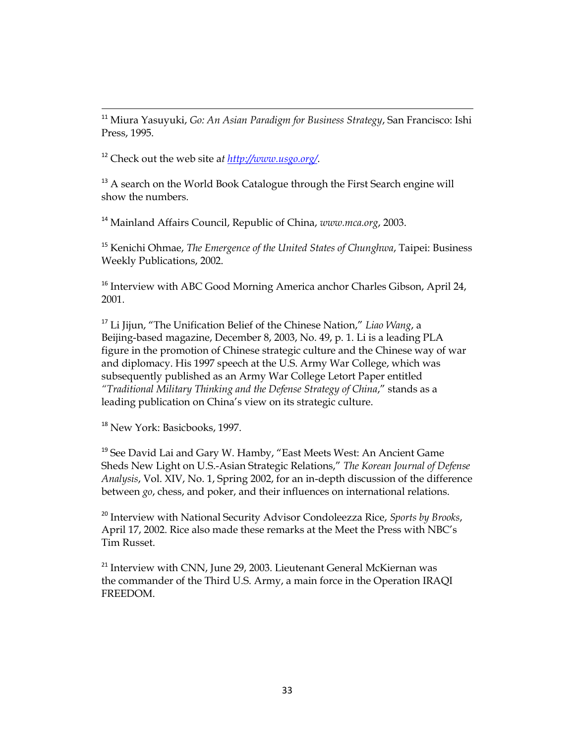<sup>11</sup> Miura Yasuyuki, *Go: An Asian Paradigm for Business Strategy*, San Francisco: Ishi Press, 1995.

<sup>12</sup> Check out the web site a*t<http://www.usgo.org/>*.

 $\overline{\phantom{a}}$ 

<sup>13</sup> A search on the World Book Catalogue through the First Search engine will show the numbers.

<sup>14</sup> Mainland Affairs Council, Republic of China, *www.mca.org*, 2003.

<sup>15</sup> Kenichi Ohmae, *The Emergence of the United States of Chunghwa*, Taipei: Business Weekly Publications, 2002.

<sup>16</sup> Interview with ABC Good Morning America anchor Charles Gibson, April 24, 2001.

<sup>17</sup> Li Jijun, "The Unification Belief of the Chinese Nation," *Liao Wang*, a Beijing-based magazine, December 8, 2003, No. 49, p. 1. Li is a leading PLA figure in the promotion of Chinese strategic culture and the Chinese way of war and diplomacy. His 1997 speech at the U.S. Army War College, which was subsequently published as an Army War College Letort Paper entitled *"Traditional Military Thinking and the Defense Strategy of China*," stands as a leading publication on China"s view on its strategic culture.

<sup>18</sup> New York: Basicbooks, 1997.

<sup>19</sup> See David Lai and Gary W. Hamby, "East Meets West: An Ancient Game Sheds New Light on U.S.-Asian Strategic Relations," *The Korean Journal of Defense Analysis*, Vol. XIV, No. 1, Spring 2002, for an in-depth discussion of the difference between *go*, chess, and poker, and their influences on international relations.

<sup>20</sup> Interview with National Security Advisor Condoleezza Rice, *Sports by Brooks*, April 17, 2002. Rice also made these remarks at the Meet the Press with NBC"s Tim Russet.

<sup>21</sup> Interview with CNN, June 29, 2003. Lieutenant General McKiernan was the commander of the Third U.S. Army, a main force in the Operation IRAQI FREEDOM.